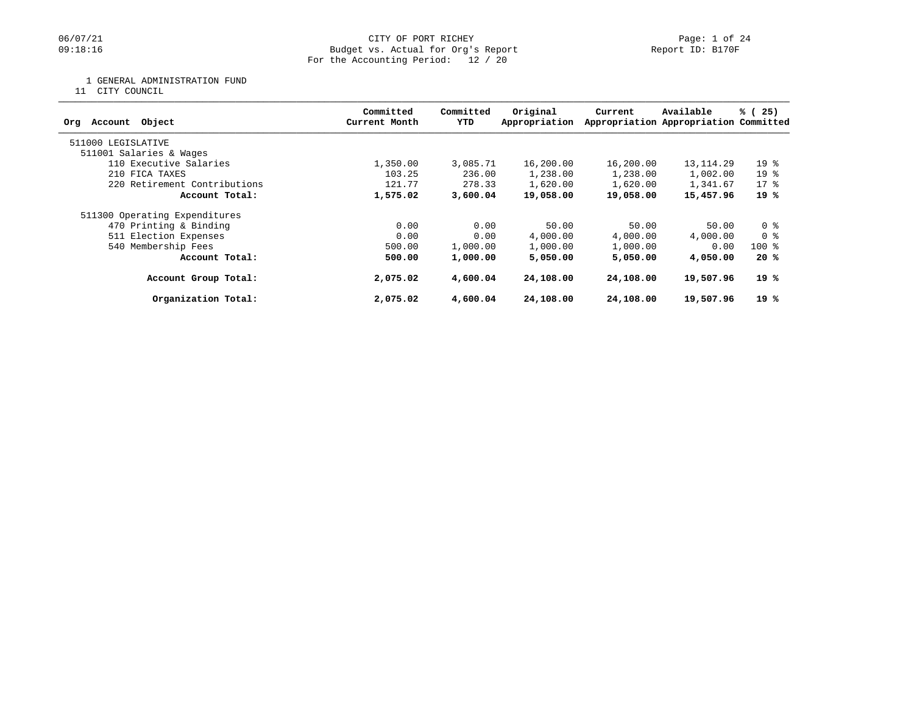# 06/07/21 CITY OF PORT RICHEY Page: 1 of 24<br>
09:18:16 Budget vs. Actual for Org's Report Page: 1 of 24 Budget vs. Actual for Org's Report For the Accounting Period: 12 / 20

1 GENERAL ADMINISTRATION FUND

11 CITY COUNCIL

| Committed<br>Current Month | Committed<br>YTD | Original<br>Appropriation | Current                                                | Available  | % (25)                                                                                                                        |
|----------------------------|------------------|---------------------------|--------------------------------------------------------|------------|-------------------------------------------------------------------------------------------------------------------------------|
|                            |                  |                           |                                                        |            |                                                                                                                               |
|                            |                  |                           |                                                        |            |                                                                                                                               |
| 1,350.00                   |                  | 16,200.00                 |                                                        | 13, 114.29 | $19*$                                                                                                                         |
| 103.25                     | 236.00           | 1,238.00                  |                                                        | 1,002.00   | $19*$                                                                                                                         |
| 121.77                     |                  | 1,620.00                  |                                                        | 1,341.67   | $17*$                                                                                                                         |
| 1,575.02                   |                  | 19,058.00                 |                                                        | 15,457.96  | 19%                                                                                                                           |
|                            |                  |                           |                                                        |            |                                                                                                                               |
| 0.00                       | 0.00             | 50.00                     | 50.00                                                  | 50.00      | 0 %                                                                                                                           |
| 0.00                       | 0.00             | 4,000.00                  | 4,000.00                                               | 4,000.00   | 0 %                                                                                                                           |
| 500.00                     |                  | 1,000.00                  | 1,000.00                                               | 0.00       | $100$ %                                                                                                                       |
| 500.00                     | 1,000.00         | 5,050,00                  |                                                        | 4,050.00   | 20%                                                                                                                           |
| 2,075.02                   |                  | 24,108.00                 |                                                        | 19,507.96  | 19%                                                                                                                           |
| 2,075.02                   | 4,600.04         | 24,108.00                 |                                                        | 19,507.96  | 19%                                                                                                                           |
|                            |                  |                           | 3,085.71<br>278.33<br>3,600.04<br>1,000.00<br>4,600.04 |            | Appropriation Appropriation Committed<br>16,200.00<br>1,238.00<br>1,620.00<br>19,058.00<br>5,050,00<br>24,108.00<br>24,108.00 |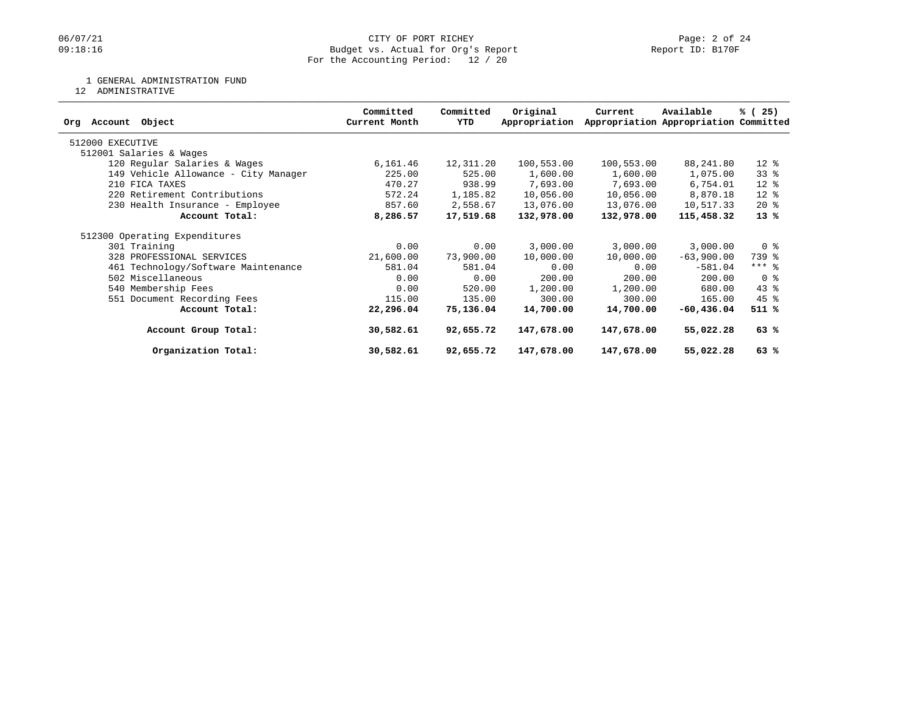# 06/07/21 CITY OF PORT RICHEY Page: 2 of 24<br>
09:18:16 Budget vs. Actual for Org's Report Page: 2 Of 24 Budget vs. Actual for Org's Report For the Accounting Period: 12 / 20

### 1 GENERAL ADMINISTRATION FUND

12 ADMINISTRATIVE

| Object<br>Org Account                | Committed<br>Current Month | Committed<br>YTD | Original<br>Appropriation | Current    | Available<br>Appropriation Appropriation Committed | % (25)         |
|--------------------------------------|----------------------------|------------------|---------------------------|------------|----------------------------------------------------|----------------|
| 512000 EXECUTIVE                     |                            |                  |                           |            |                                                    |                |
| 512001 Salaries & Wages              |                            |                  |                           |            |                                                    |                |
| 120 Regular Salaries & Wages         | 6,161.46                   | 12,311.20        | 100,553.00                | 100,553.00 | 88,241.80                                          | $12*$          |
| 149 Vehicle Allowance - City Manager | 225.00                     | 525.00           | 1,600.00                  | 1,600.00   | 1,075.00                                           | 338            |
| 210 FICA TAXES                       | 470.27                     | 938.99           | 7,693.00                  | 7,693.00   | 6,754.01                                           | $12*$          |
| 220 Retirement Contributions         | 572.24                     | 1,185.82         | 10,056.00                 | 10,056.00  | 8,870.18                                           | $12*$          |
| 230 Health Insurance - Employee      | 857.60                     | 2,558.67         | 13,076.00                 | 13,076.00  | 10,517.33                                          | $20*$          |
| Account Total:                       | 8,286.57                   | 17,519.68        | 132,978.00                | 132,978.00 | 115,458.32                                         | $13*$          |
| 512300 Operating Expenditures        |                            |                  |                           |            |                                                    |                |
| 301 Training                         | 0.00                       | 0.00             | 3,000.00                  | 3,000.00   | 3,000.00                                           | 0 <sup>8</sup> |
| 328 PROFESSIONAL SERVICES            | 21,600.00                  | 73,900.00        | 10,000.00                 | 10,000.00  | $-63,900.00$                                       | 739 %          |
| 461 Technology/Software Maintenance  | 581.04                     | 581.04           | 0.00                      | 0.00       | $-581.04$                                          | $***$ 8        |
| 502 Miscellaneous                    | 0.00                       | 0.00             | 200.00                    | 200.00     | 200.00                                             | 0 %            |
| 540 Membership Fees                  | 0.00                       | 520.00           | 1,200.00                  | 1,200.00   | 680.00                                             | $43$ %         |
| 551 Document Recording Fees          | 115.00                     | 135.00           | 300.00                    | 300.00     | 165.00                                             | $45$ %         |
| Account Total:                       | 22,296.04                  | 75,136.04        | 14,700.00                 | 14,700.00  | $-60, 436.04$                                      | 511 %          |
| Account Group Total:                 | 30,582.61                  | 92,655.72        | 147,678.00                | 147,678.00 | 55,022.28                                          | 63%            |
| Organization Total:                  | 30,582.61                  | 92,655.72        | 147,678.00                | 147,678.00 | 55,022.28                                          | 63%            |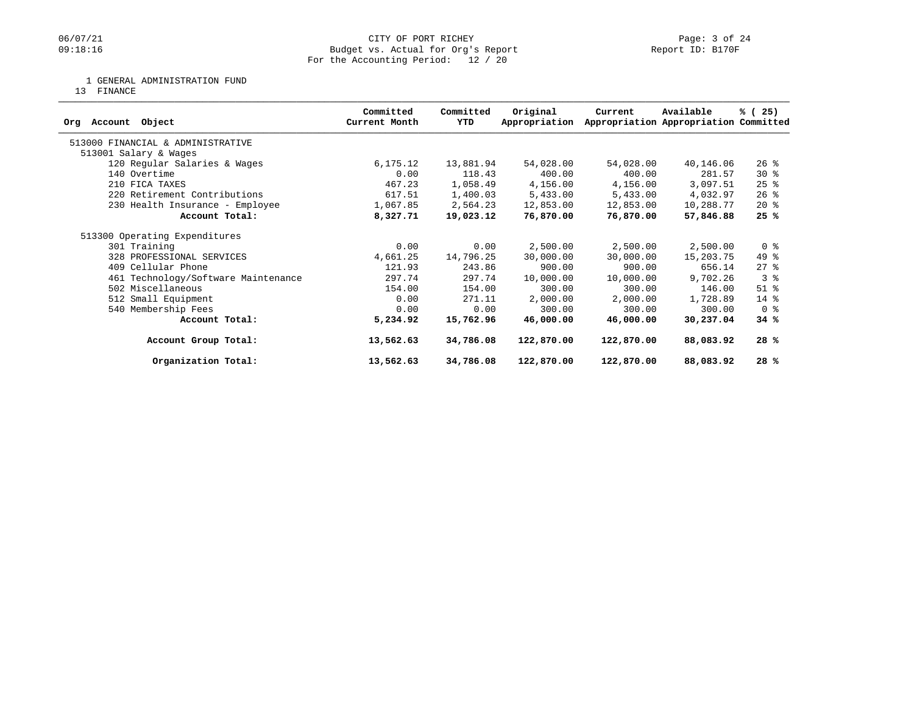# 06/07/21 CITY OF PORT RICHEY Page: 3 of 24<br>
09:18:16 Dudget vs. Actual for Org's Report Page: 1 Page: 3 of 24 Budget vs. Actual for Org's Report For the Accounting Period: 12 / 20

1 GENERAL ADMINISTRATION FUND

13 FINANCE

| Object<br>Account<br>Orq            | Committed<br>Current Month | Committed<br>YTD | Original<br>Appropriation | Current    | Available<br>Appropriation Appropriation Committed | % (25)         |
|-------------------------------------|----------------------------|------------------|---------------------------|------------|----------------------------------------------------|----------------|
| 513000 FINANCIAL & ADMINISTRATIVE   |                            |                  |                           |            |                                                    |                |
| 513001 Salary & Wages               |                            |                  |                           |            |                                                    |                |
| 120 Regular Salaries & Wages        | 6,175.12                   | 13,881.94        | 54,028.00                 | 54,028.00  | 40,146.06                                          | $26$ %         |
| 140 Overtime                        | 0.00                       | 118.43           | 400.00                    | 400.00     | 281.57                                             | $30*$          |
| 210 FICA TAXES                      | 467.23                     | 1,058.49         | 4,156.00                  | 4,156.00   | 3,097.51                                           | $25$ $%$       |
| 220 Retirement Contributions        | 617.51                     | 1,400.03         | 5,433.00                  | 5,433.00   | 4,032.97                                           | $26$ %         |
| 230 Health Insurance - Employee     | 1,067.85                   | 2,564.23         | 12,853.00                 | 12,853.00  | 10,288.77                                          | $20*$          |
| Account Total:                      | 8,327.71                   | 19,023.12        | 76,870.00                 | 76,870.00  | 57,846.88                                          | 25%            |
| 513300 Operating Expenditures       |                            |                  |                           |            |                                                    |                |
| 301 Training                        | 0.00                       | 0.00             | 2,500.00                  | 2,500.00   | 2,500.00                                           | 0 <sup>8</sup> |
| 328 PROFESSIONAL SERVICES           | 4,661.25                   | 14,796.25        | 30,000.00                 | 30,000.00  | 15,203.75                                          | 49 %           |
| 409 Cellular Phone                  | 121.93                     | 243.86           | 900.00                    | 900.00     | 656.14                                             | $27$ $\approx$ |
| 461 Technology/Software Maintenance | 297.74                     | 297.74           | 10,000.00                 | 10,000.00  | 9,702.26                                           | 3 <sup>8</sup> |
| 502 Miscellaneous                   | 154.00                     | 154.00           | 300.00                    | 300.00     | 146.00                                             | $51$ %         |
| 512 Small Equipment                 | 0.00                       | 271.11           | 2,000.00                  | 2,000.00   | 1,728.89                                           | 14 %           |
| 540 Membership Fees                 | 0.00                       | 0.00             | 300.00                    | 300.00     | 300.00                                             | 0 <sub>8</sub> |
| Account Total:                      | 5,234.92                   | 15,762.96        | 46,000.00                 | 46,000.00  | 30,237.04                                          | 34%            |
| Account Group Total:                | 13,562.63                  | 34,786.08        | 122,870.00                | 122,870.00 | 88,083.92                                          | 28%            |
| Organization Total:                 | 13,562.63                  | 34,786.08        | 122,870.00                | 122,870.00 | 88,083.92                                          | 28%            |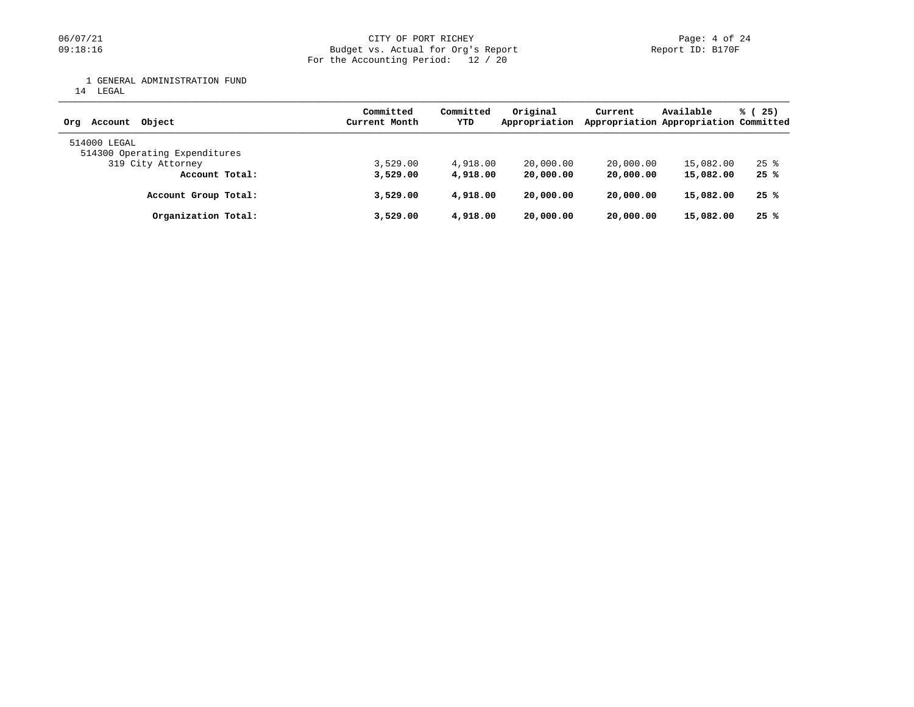1 GENERAL ADMINISTRATION FUND

14 LEGAL

| Account Object<br>Orq                         | Committed<br>Current Month | Committed<br>YTD | Original<br>Appropriation | Current   | Available<br>Appropriation Appropriation Committed | % (25)             |
|-----------------------------------------------|----------------------------|------------------|---------------------------|-----------|----------------------------------------------------|--------------------|
| 514000 LEGAL<br>514300 Operating Expenditures |                            |                  |                           |           |                                                    |                    |
| 319 City Attorney                             | 3.529.00                   | 4,918.00         | 20,000.00                 | 20,000.00 | 15,082.00                                          | $25$ $\frac{6}{5}$ |
| Account Total:                                | 3,529.00                   | 4,918,00         | 20,000.00                 | 20,000.00 | 15,082.00                                          | 25%                |
| Account Group Total:                          | 3,529.00                   | 4,918,00         | 20,000.00                 | 20,000.00 | 15,082.00                                          | 25%                |
| Organization Total:                           | 3,529.00                   | 4,918,00         | 20,000.00                 | 20,000.00 | 15,082.00                                          | 25%                |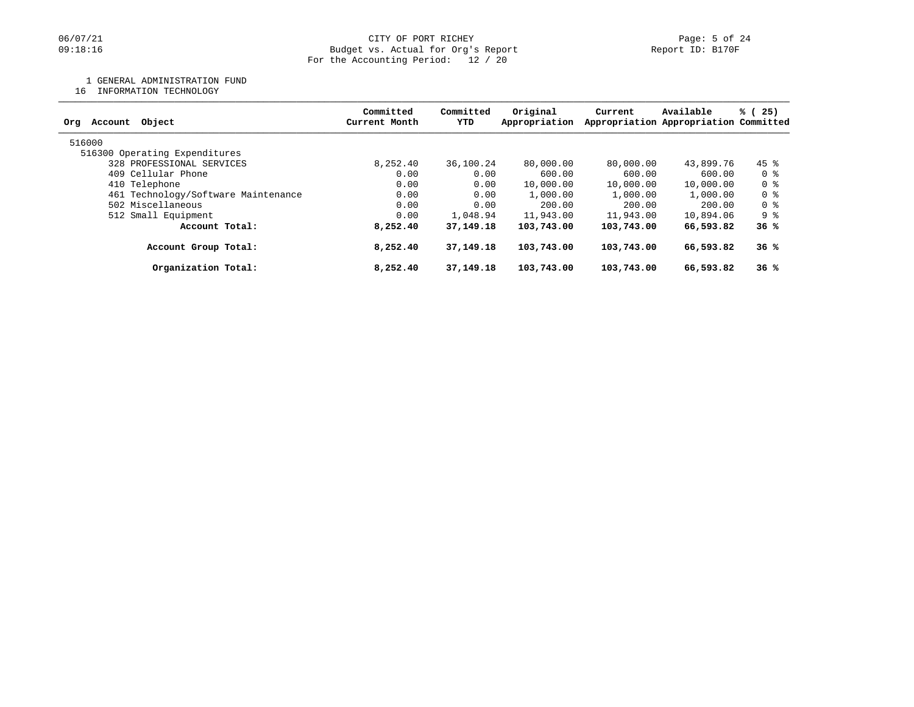### 1 GENERAL ADMINISTRATION FUND

16 INFORMATION TECHNOLOGY

| Committed<br>Current Month | Committed<br>YTD | Original<br>Appropriation | Current                                                                                            | Available | % (25)                                                                                                                                                  |  |
|----------------------------|------------------|---------------------------|----------------------------------------------------------------------------------------------------|-----------|---------------------------------------------------------------------------------------------------------------------------------------------------------|--|
|                            |                  |                           |                                                                                                    |           |                                                                                                                                                         |  |
|                            |                  |                           |                                                                                                    |           |                                                                                                                                                         |  |
| 8.252.40                   |                  | 80,000.00                 |                                                                                                    |           | $45$ %                                                                                                                                                  |  |
| 0.00                       |                  | 600.00                    |                                                                                                    | 600.00    | 0 %                                                                                                                                                     |  |
| 0.00                       |                  | 10,000.00                 |                                                                                                    | 10,000.00 | 0 %                                                                                                                                                     |  |
| 0.00                       |                  | 1,000.00                  | 1,000.00                                                                                           | 1,000.00  | 0 %                                                                                                                                                     |  |
| 0.00                       |                  | 200.00                    |                                                                                                    | 200.00    | 0 %                                                                                                                                                     |  |
| 0.00                       |                  | 11,943.00                 |                                                                                                    | 10,894.06 | 9 %                                                                                                                                                     |  |
| 8,252.40                   |                  | 103,743.00                |                                                                                                    | 66,593.82 | 36%                                                                                                                                                     |  |
| 8,252.40                   |                  | 103,743.00                |                                                                                                    | 66,593.82 | 36%                                                                                                                                                     |  |
| 8,252.40                   |                  | 103,743.00                |                                                                                                    | 66,593.82 | 36%                                                                                                                                                     |  |
|                            |                  |                           | 36,100.24<br>0.00<br>0.00<br>0.00<br>0.00<br>1,048.94<br>37, 149, 18<br>37, 149. 18<br>37, 149. 18 |           | Appropriation Appropriation Committed<br>80,000,00<br>43,899.76<br>600.00<br>10,000.00<br>200.00<br>11,943.00<br>103,743.00<br>103,743.00<br>103,743.00 |  |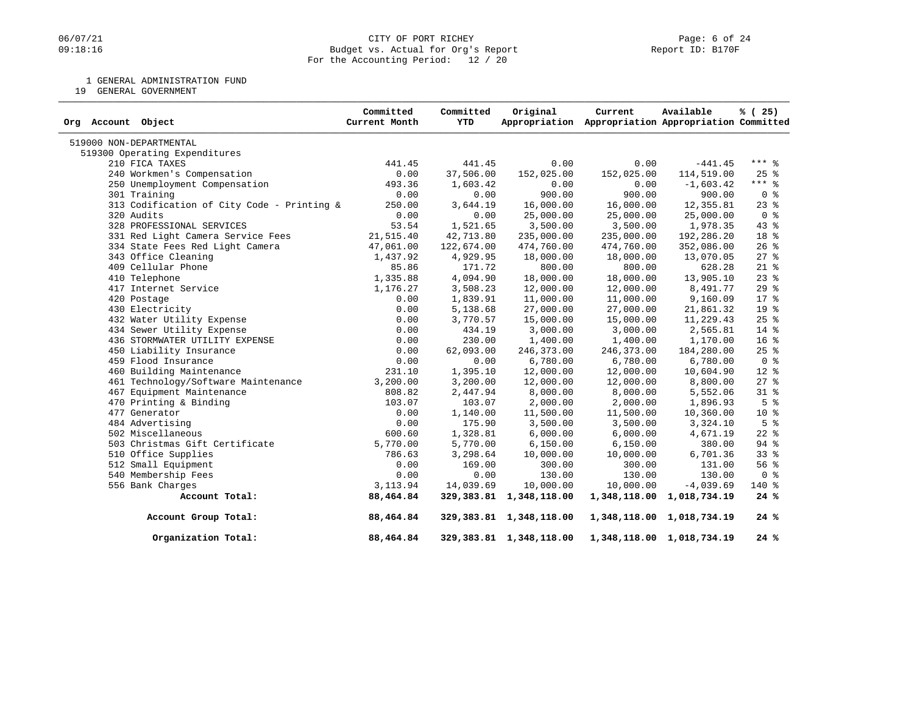### 06/07/21 CITY OF PORT RICHEY PAGE 24<br>
09:18:16 Dudget vs. Actual for Org's Report Communication (Page: 6 of 24<br>
Report ID: B170F Budget vs. Actual for Org's Report For the Accounting Period: 12 / 20

1 GENERAL ADMINISTRATION FUND

19 GENERAL GOVERNMENT

| Org Account Object                         | Committed<br>Current Month | Committed<br>YTD | Original                   | Current<br>Appropriation Appropriation Appropriation Committed | Available                 | % (25)             |
|--------------------------------------------|----------------------------|------------------|----------------------------|----------------------------------------------------------------|---------------------------|--------------------|
| 519000 NON-DEPARTMENTAL                    |                            |                  |                            |                                                                |                           |                    |
| 519300 Operating Expenditures              |                            |                  |                            |                                                                |                           |                    |
| 210 FICA TAXES                             | 441.45                     | 441.45           | 0.00                       | 0.00                                                           | $-441.45$                 | $***$ %            |
| 240 Workmen's Compensation                 | 0.00                       | 37,506.00        | 152,025.00                 | 152,025.00                                                     | 114,519.00                | 25%                |
| 250 Unemployment Compensation              | 493.36                     | 1,603.42         | 0.00                       | 0.00                                                           | $-1,603.42$               | $***$ $%$          |
| 301 Training                               | 0.00                       | 0.00             | 900.00                     | 900.00                                                         | 900.00                    | 0 <sup>8</sup>     |
| 313 Codification of City Code - Printing & | 250.00                     | 3,644.19         | 16,000.00                  | 16,000.00                                                      | 12,355.81                 | $23$ $%$           |
| 320 Audits                                 | 0.00                       | 0.00             | 25,000.00                  | 25,000.00                                                      | 25,000.00                 | 0 <sup>8</sup>     |
| 328 PROFESSIONAL SERVICES                  | 53.54                      | 1,521.65         | 3,500.00                   | 3,500.00                                                       | 1,978.35                  | 43%                |
| 331 Red Light Camera Service Fees          | 21,515.40                  | 42,713.80        | 235,000.00                 | 235,000.00                                                     | 192,286.20                | 18 <sup>8</sup>    |
| 334 State Fees Red Light Camera            | 47,061.00                  | 122,674.00       | 474,760.00                 | 474,760.00                                                     | 352,086.00                | $26$ %             |
| 343 Office Cleaning                        | 1,437.92                   | 4,929.95         | 18,000.00                  | 18,000.00                                                      | 13,070.05                 | $27$ %             |
| 409 Cellular Phone                         | 85.86                      | 171.72           | 800.00                     | 800.00                                                         | 628.28                    | $21*$              |
| 410 Telephone                              | 1,335.88                   | 4,094.90         | 18,000.00                  | 18,000.00                                                      | 13,905.10                 | $23$ $%$           |
| 417 Internet Service                       | 1,176.27                   | 3,508.23         | 12,000.00                  | 12,000.00                                                      | 8,491.77                  | 29%                |
| 420 Postage                                | 0.00                       | 1,839.91         | 11,000.00                  | 11,000.00                                                      | 9,160.09                  | $17*$              |
| 430 Electricity                            | 0.00                       | 5,138.68         | 27,000.00                  | 27,000.00                                                      | 21,861.32                 | 19 <sup>°</sup>    |
| 432 Water Utility Expense                  | 0.00                       | 3,770.57         | 15,000.00                  | 15,000.00                                                      | 11,229.43                 | 25%                |
| 434 Sewer Utility Expense                  | 0.00                       | 434.19           | 3,000.00                   | 3,000.00                                                       | 2,565.81                  | 14 %               |
| 436 STORMWATER UTILITY EXPENSE             | 0.00                       | 230.00           | 1,400.00                   | 1,400.00                                                       | 1,170.00                  | 16 <sup>°</sup>    |
| 450 Liability Insurance                    | 0.00                       | 62,093.00        | 246,373.00                 | 246,373.00                                                     | 184,280.00                | 25%                |
| 459 Flood Insurance                        | 0.00                       | 0.00             | 6,780.00                   | 6,780.00                                                       | 6,780.00                  | 0 <sup>8</sup>     |
| 460 Building Maintenance                   | 231.10                     | 1,395.10         | 12,000.00                  | 12,000.00                                                      | 10,604.90                 | $12*$              |
| 461 Technology/Software Maintenance        | 3,200.00                   | 3,200.00         | 12,000.00                  | 12,000.00                                                      | 8,800.00                  | $27$ %             |
| 467 Equipment Maintenance                  | 808.82                     | 2,447.94         | 8,000.00                   | 8,000.00                                                       | 5,552.06                  | $31$ %             |
| 470 Printing & Binding                     | 103.07                     | 103.07           | 2,000.00                   | 2,000.00                                                       | 1,896.93                  | 5 <sup>8</sup>     |
| 477 Generator                              | 0.00                       | 1,140.00         | 11,500.00                  | 11,500.00                                                      | 10,360.00                 | $10*$              |
| 484 Advertising                            | 0.00                       | 175.90           | 3,500.00                   | 3,500.00                                                       | 3,324.10                  | 5 <sup>8</sup>     |
| 502 Miscellaneous                          | 600.60                     | 1,328.81         | 6,000.00                   | 6,000.00                                                       | 4,671.19                  | $22$ $%$           |
| 503 Christmas Gift Certificate             | 5,770.00                   | 5,770.00         | 6,150.00                   | 6,150.00                                                       | 380.00                    | 94 %               |
| 510 Office Supplies                        | 786.63                     | 3,298.64         | 10,000.00                  | 10,000.00                                                      | 6,701.36                  | 33%                |
| 512 Small Equipment                        | 0.00                       | 169.00           | 300.00                     | 300.00                                                         | 131.00                    | $56$ $\frac{6}{3}$ |
| 540 Membership Fees                        | 0.00                       | 0.00             | 130.00                     | 130.00                                                         | 130.00                    | 0 <sup>8</sup>     |
| 556 Bank Charges                           | 3, 113.94                  | 14,039.69        | 10,000.00                  | 10,000.00                                                      | $-4,039.69$               | 140 %              |
| Account Total:                             | 88,464.84                  |                  | 329, 383.81 1, 348, 118.00 |                                                                | 1,348,118.00 1,018,734.19 | 24%                |
| Account Group Total:                       | 88,464.84                  |                  | 329, 383.81 1, 348, 118.00 |                                                                | 1,348,118.00 1,018,734.19 | 24%                |
| Organization Total:                        | 88,464.84                  |                  | 329, 383.81 1, 348, 118.00 |                                                                | 1,348,118.00 1,018,734.19 | 24%                |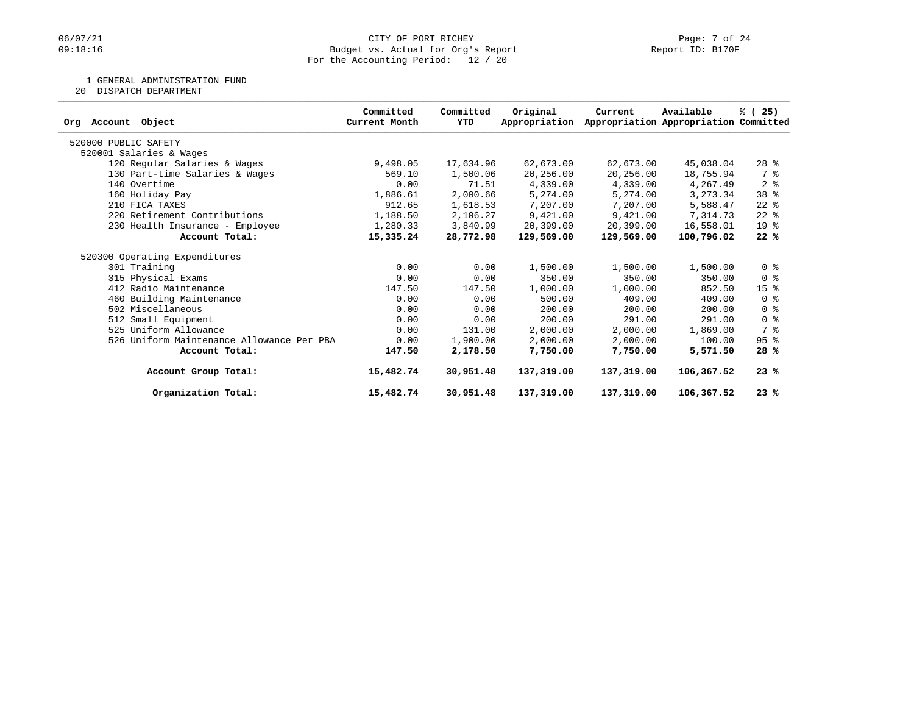# 06/07/21 CITY OF PORT RICHEY Page: 7 of 24<br>
Budget vs. Actual for Org's Report Page: 7 Of 24<br>
Page: 7 of 24 Budget vs. Actual for Org's Report For the Accounting Period: 12 / 20

1 GENERAL ADMINISTRATION FUND

20 DISPATCH DEPARTMENT

|                                           | Committed     | Committed | Original      | Current    | Available                             | % (25)                  |
|-------------------------------------------|---------------|-----------|---------------|------------|---------------------------------------|-------------------------|
| Org Account<br>Object                     | Current Month | YTD       | Appropriation |            | Appropriation Appropriation Committed |                         |
| 520000 PUBLIC SAFETY                      |               |           |               |            |                                       |                         |
| 520001 Salaries & Wages                   |               |           |               |            |                                       |                         |
| 120 Regular Salaries & Wages              | 9,498.05      | 17,634.96 | 62,673.00     | 62,673.00  | 45,038.04                             | $28$ %                  |
| 130 Part-time Salaries & Wages            | 569.10        | 1,500.06  | 20,256.00     | 20,256.00  | 18,755.94                             | 7 %                     |
| 140 Overtime                              | 0.00          | 71.51     | 4,339.00      | 4,339.00   | 4,267.49                              | 2 <sup>8</sup>          |
| 160 Holiday Pay                           | 1,886.61      | 2,000.66  | 5,274.00      | 5,274.00   | 3, 273.34                             | 38 %                    |
| 210 FICA TAXES                            | 912.65        | 1,618.53  | 7,207.00      | 7,207.00   | 5,588.47                              | $22$ $%$                |
| 220 Retirement Contributions              | 1,188.50      | 2,106.27  | 9,421.00      | 9,421.00   | 7,314.73                              | $22$ %                  |
| 230 Health Insurance - Employee           | 1,280.33      | 3,840.99  | 20,399.00     | 20,399.00  | 16,558.01                             | 19 %                    |
| Account Total:                            | 15,335.24     | 28,772.98 | 129,569.00    | 129,569.00 | 100,796.02                            | 22%                     |
| 520300 Operating Expenditures             |               |           |               |            |                                       |                         |
| 301 Training                              | 0.00          | 0.00      | 1,500.00      | 1,500.00   | 1,500.00                              | 0 <sup>8</sup>          |
| 315 Physical Exams                        | 0.00          | 0.00      | 350.00        | 350.00     | 350.00                                | $0 \text{ }$ $\text{*}$ |
| 412 Radio Maintenance                     | 147.50        | 147.50    | 1,000.00      | 1,000.00   | 852.50                                | 15 <sup>8</sup>         |
| 460 Building Maintenance                  | 0.00          | 0.00      | 500.00        | 409.00     | 409.00                                | 0 <sup>8</sup>          |
| 502 Miscellaneous                         | 0.00          | 0.00      | 200.00        | 200.00     | 200.00                                | $0 \text{ }$ $\text{*}$ |
| 512 Small Equipment                       | 0.00          | 0.00      | 200.00        | 291.00     | 291.00                                | 0 <sup>8</sup>          |
| 525 Uniform Allowance                     | 0.00          | 131.00    | 2,000.00      | 2,000.00   | 1,869.00                              | 7 %                     |
| 526 Uniform Maintenance Allowance Per PBA | 0.00          | 1,900.00  | 2,000.00      | 2,000.00   | 100.00                                | $95$ %                  |
| Account Total:                            | 147.50        | 2,178.50  | 7,750.00      | 7,750.00   | 5,571.50                              | 28%                     |
| Account Group Total:                      | 15,482.74     | 30,951.48 | 137,319.00    | 137,319.00 | 106,367.52                            | 23%                     |
| Organization Total:                       | 15,482.74     | 30,951.48 | 137,319.00    | 137,319.00 | 106,367.52                            | 23%                     |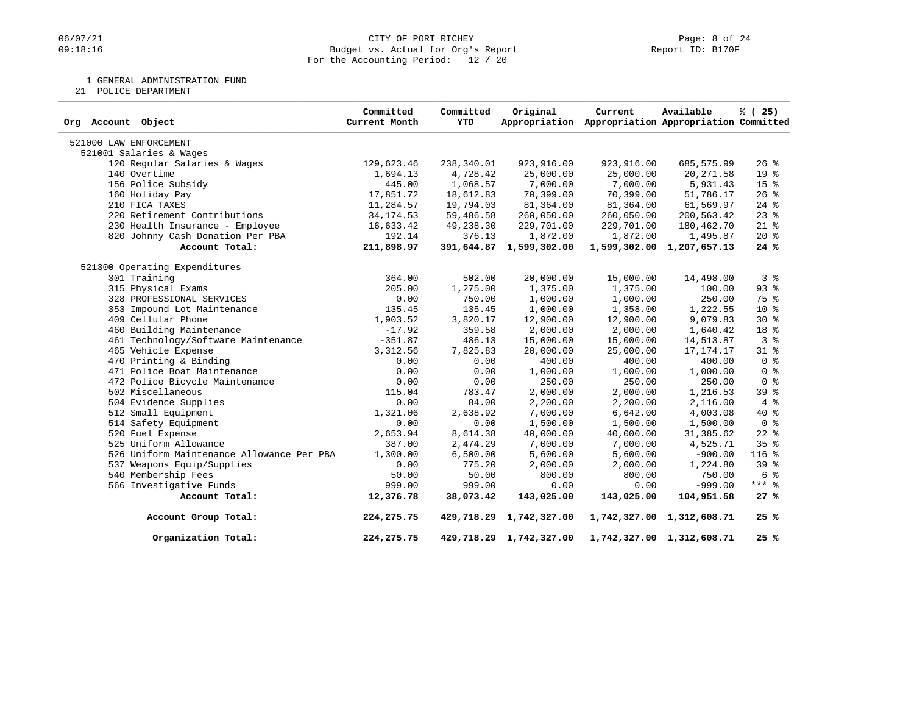# 06/07/21 CITY OF PORT RICHEY Page: 8 of 24<br>
09:18:16 Budget vs. Actual for Org's Report Page: 16 Page: 8 of 24 Budget vs. Actual for Org's Report For the Accounting Period: 12 / 20

1 GENERAL ADMINISTRATION FUND

21 POLICE DEPARTMENT

| Org Account Object                        | Committed<br>Current Month | Committed<br>YTD | Original                | Current<br>Appropriation Appropriation Appropriation Committed | Available                 | % (25)          |
|-------------------------------------------|----------------------------|------------------|-------------------------|----------------------------------------------------------------|---------------------------|-----------------|
| 521000 LAW ENFORCEMENT                    |                            |                  |                         |                                                                |                           |                 |
| 521001 Salaries & Wages                   |                            |                  |                         |                                                                |                           |                 |
| 120 Regular Salaries & Wages              | 129,623.46                 | 238,340.01       | 923,916.00              | 923,916.00                                                     | 685,575.99                | $26$ %          |
| 140 Overtime                              | 1,694.13                   | 4,728.42         | 25,000.00               | 25,000.00                                                      | 20, 271.58                | 19 %            |
| 156 Police Subsidy                        | 445.00                     | 1,068.57         | 7,000.00                | 7,000.00                                                       | 5,931.43                  | 15 <sup>°</sup> |
| 160 Holiday Pay                           | 17,851.72                  | 18,612.83        | 70,399.00               | 70,399.00                                                      | 51,786.17                 | $26$ %          |
| 210 FICA TAXES                            | 11,284.57                  | 19,794.03        | 81,364.00               | 81,364.00                                                      | 61,569.97                 | $24$ %          |
| 220 Retirement Contributions              | 34, 174.53                 | 59,486.58        | 260,050.00              | 260,050.00                                                     | 200,563.42                | $23$ $%$        |
| 230 Health Insurance - Employee           | 16,633.42                  | 49,238.30        | 229,701.00              | 229,701.00                                                     | 180,462.70                | $21*$           |
| 820 Johnny Cash Donation Per PBA          | 192.14                     | 376.13           | 1,872.00                | 1,872.00                                                       | 1,495.87                  | $20*$           |
| Account Total:                            | 211,898.97                 |                  | 391,644.87 1,599,302.00 |                                                                | 1,599,302.00 1,207,657.13 | 24%             |
| 521300 Operating Expenditures             |                            |                  |                         |                                                                |                           |                 |
| 301 Training                              | 364.00                     | 502.00           | 20,000.00               | 15,000.00                                                      | 14,498.00                 | 3%              |
| 315 Physical Exams                        | 205.00                     | 1,275.00         | 1,375.00                | 1,375.00                                                       | 100.00                    | $93$ $%$        |
| 328 PROFESSIONAL SERVICES                 | 0.00                       | 750.00           | 1,000.00                | 1,000.00                                                       | 250.00                    | 75 %            |
| 353 Impound Lot Maintenance               | 135.45                     | 135.45           | 1,000.00                | 1,358.00                                                       | 1,222.55                  | $10*$           |
| 409 Cellular Phone                        | 1,903.52                   | 3,820.17         | 12,900.00               | 12,900.00                                                      | 9,079.83                  | $30*$           |
| 460 Building Maintenance                  | $-17.92$                   | 359.58           | 2,000.00                | 2,000.00                                                       | 1,640.42                  | 18 %            |
| 461 Technology/Software Maintenance       | $-351.87$                  | 486.13           | 15,000.00               | 15,000.00                                                      | 14,513.87                 | 3%              |
| 465 Vehicle Expense                       | 3,312.56                   | 7,825.83         | 20,000.00               | 25,000.00                                                      | 17, 174. 17               | $31$ %          |
| 470 Printing & Binding                    | 0.00                       | 0.00             | 400.00                  | 400.00                                                         | 400.00                    | 0 <sup>8</sup>  |
| 471 Police Boat Maintenance               | 0.00                       | 0.00             | 1,000.00                | 1,000.00                                                       | 1,000.00                  | 0 <sup>8</sup>  |
| 472 Police Bicycle Maintenance            | 0.00                       | 0.00             | 250.00                  | 250.00                                                         | 250.00                    | 0 <sup>8</sup>  |
| 502 Miscellaneous                         | 115.04                     | 783.47           | 2,000.00                | 2,000.00                                                       | 1,216.53                  | 39 %            |
| 504 Evidence Supplies                     | 0.00                       | 84.00            | 2,200.00                | 2,200.00                                                       | 2,116.00                  | 4%              |
| 512 Small Equipment                       | 1,321.06                   | 2,638.92         | 7,000.00                | 6,642.00                                                       | 4,003.08                  | $40*$           |
| 514 Safety Equipment                      | 0.00                       | 0.00             | 1,500.00                | 1,500.00                                                       | 1,500.00                  | 0 <sup>8</sup>  |
| 520 Fuel Expense                          | 2,653.94                   | 8,614.38         | 40,000.00               | 40,000.00                                                      | 31,385.62                 | $22$ $%$        |
| 525 Uniform Allowance                     | 387.00                     | 2,474.29         | 7,000.00                | 7,000.00                                                       | 4,525.71                  | 35%             |
| 526 Uniform Maintenance Allowance Per PBA | 1,300.00                   | 6,500.00         | 5,600.00                | 5,600.00                                                       | $-900.00$                 | 116 %           |
| 537 Weapons Equip/Supplies                | 0.00                       | 775.20           | 2,000.00                | 2,000.00                                                       | 1,224.80                  | 39 <sup>8</sup> |
| 540 Membership Fees                       | 50.00                      | 50.00            | 800.00                  | 800.00                                                         | 750.00                    | 6 %             |
| 566 Investigative Funds                   | 999.00                     | 999.00           | 0.00                    | 0.00                                                           | $-999.00$                 | $***$ 8         |
| Account Total:                            | 12,376.78                  | 38,073.42        | 143,025.00              | 143,025.00                                                     | 104,951.58                | 27%             |
| Account Group Total:                      | 224, 275. 75               |                  | 429,718.29 1,742,327.00 |                                                                | 1,742,327.00 1,312,608.71 | 25%             |
| Organization Total:                       | 224, 275. 75               |                  | 429,718.29 1,742,327.00 |                                                                | 1,742,327.00 1,312,608.71 | 25%             |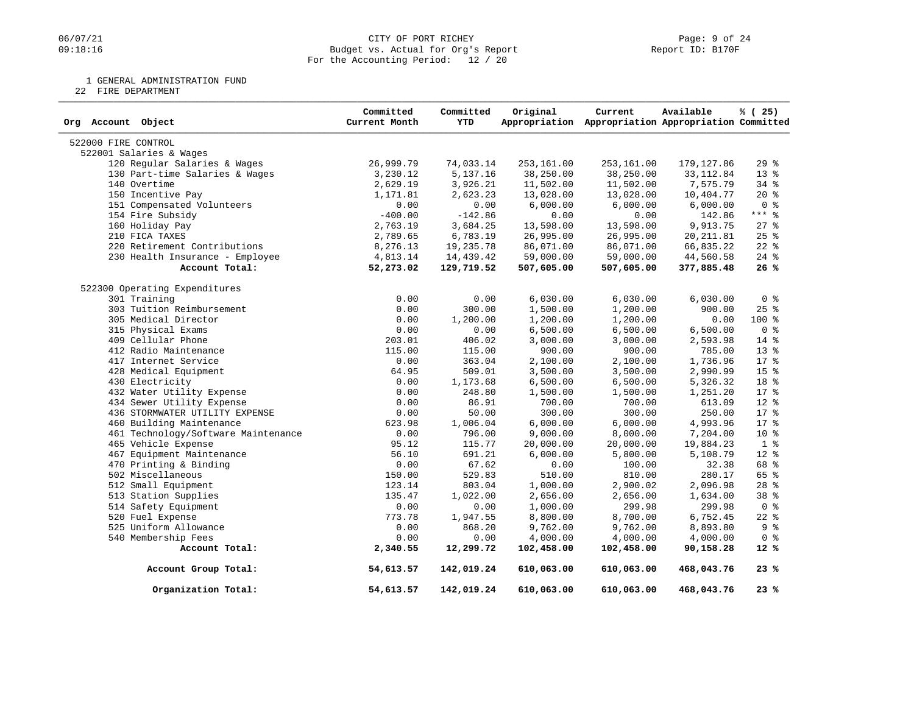### 06/07/21 CITY OF PORT RICHEY PAGE 24<br>
09:18:16 Dudget vs. Actual for Org's Report Communication (Page: 9 of 24<br>
Page: 9 of 24 Budget vs. Actual for Org's Report For the Accounting Period: 12 / 20

1 GENERAL ADMINISTRATION FUND

22 FIRE DEPARTMENT

| Org Account Object                  | Committed<br>Current Month | Committed<br><b>YTD</b> | Original   | Current<br>Appropriation Appropriation Appropriation Committed | Available   | % (25)          |
|-------------------------------------|----------------------------|-------------------------|------------|----------------------------------------------------------------|-------------|-----------------|
| 522000 FIRE CONTROL                 |                            |                         |            |                                                                |             |                 |
| 522001 Salaries & Wages             |                            |                         |            |                                                                |             |                 |
| 120 Regular Salaries & Wages        | 26,999.79                  | 74,033.14               | 253,161.00 | 253,161.00                                                     | 179, 127.86 | 29%             |
| 130 Part-time Salaries & Wages      | 3,230.12                   | 5,137.16                | 38,250.00  | 38,250.00                                                      | 33, 112.84  | 13 %            |
| 140 Overtime                        | 2,629.19                   | 3,926.21                | 11,502.00  | 11,502.00                                                      | 7,575.79    | 34 %            |
| 150 Incentive Pay                   | 1,171.81                   | 2,623.23                | 13,028.00  | 13,028.00                                                      | 10,404.77   | 20%             |
| 151 Compensated Volunteers          | 0.00                       | 0.00                    | 6,000.00   | 6,000.00                                                       | 6,000.00    | 0 <sup>8</sup>  |
| 154 Fire Subsidy                    | $-400.00$                  | $-142.86$               | 0.00       | 0.00                                                           | 142.86      | $***$ $%$       |
| 160 Holiday Pay                     | 2,763.19                   | 3,684.25                | 13,598.00  | 13,598.00                                                      | 9,913.75    | $27$ $%$        |
| 210 FICA TAXES                      | 2,789.65                   | 6,783.19                | 26,995.00  | 26,995.00                                                      | 20, 211.81  | $25$ $%$        |
| 220 Retirement Contributions        | 8,276.13                   | 19,235.78               | 86,071.00  | 86,071.00                                                      | 66,835.22   | $22$ $%$        |
| 230 Health Insurance - Employee     | 4,813.14                   | 14,439.42               | 59,000.00  | 59,000.00                                                      | 44,560.58   | $24$ %          |
| Account Total:                      | 52,273.02                  | 129,719.52              | 507,605.00 | 507,605.00                                                     | 377,885.48  | 26%             |
| 522300 Operating Expenditures       |                            |                         |            |                                                                |             |                 |
| 301 Training                        | 0.00                       | 0.00                    | 6,030.00   | 6,030.00                                                       | 6,030.00    | 0 <sup>8</sup>  |
| 303 Tuition Reimbursement           | 0.00                       | 300.00                  | 1,500.00   | 1,200.00                                                       | 900.00      | 25%             |
| 305 Medical Director                | 0.00                       | 1,200.00                | 1,200.00   | 1,200.00                                                       | 0.00        | $100*$          |
| 315 Physical Exams                  | 0.00                       | 0.00                    | 6,500.00   | 6,500.00                                                       | 6,500.00    | 0 <sup>8</sup>  |
| 409 Cellular Phone                  | 203.01                     | 406.02                  | 3,000.00   | 3,000.00                                                       | 2,593.98    | $14*$           |
| 412 Radio Maintenance               | 115.00                     | 115.00                  | 900.00     | 900.00                                                         | 785.00      | 13 <sup>°</sup> |
| 417 Internet Service                | 0.00                       | 363.04                  | 2,100.00   | 2,100.00                                                       | 1,736.96    | $17*$           |
| 428 Medical Equipment               | 64.95                      | 509.01                  | 3,500.00   | 3,500.00                                                       | 2,990.99    | 15 <sup>8</sup> |
| 430 Electricity                     | 0.00                       | 1,173.68                | 6,500.00   | 6,500.00                                                       | 5,326.32    | 18 %            |
| 432 Water Utility Expense           | 0.00                       | 248.80                  | 1,500.00   | 1,500.00                                                       | 1,251.20    | 17 %            |
| 434 Sewer Utility Expense           | 0.00                       | 86.91                   | 700.00     | 700.00                                                         | 613.09      | $12*$           |
| 436 STORMWATER UTILITY EXPENSE      | 0.00                       | 50.00                   | 300.00     | 300.00                                                         | 250.00      | $17*$           |
| 460 Building Maintenance            | 623.98                     | 1,006.04                | 6,000.00   | 6,000.00                                                       | 4,993.96    | $17*$           |
| 461 Technology/Software Maintenance | 0.00                       | 796.00                  | 9,000.00   | 8,000.00                                                       | 7,204.00    | $10*$           |
| 465 Vehicle Expense                 | 95.12                      | 115.77                  | 20,000.00  | 20,000.00                                                      | 19,884.23   | 1 <sup>°</sup>  |
| 467 Equipment Maintenance           | 56.10                      | 691.21                  | 6,000.00   | 5,800.00                                                       | 5,108.79    | 12 %            |
| 470 Printing & Binding              | 0.00                       | 67.62                   | 0.00       | 100.00                                                         | 32.38       | 68 %            |
| 502 Miscellaneous                   | 150.00                     | 529.83                  | 510.00     | 810.00                                                         | 280.17      | 65 %            |
| 512 Small Equipment                 | 123.14                     | 803.04                  | 1,000.00   | 2,900.02                                                       | 2,096.98    | $28$ %          |
| 513 Station Supplies                | 135.47                     | 1,022.00                | 2,656.00   | 2,656.00                                                       | 1,634.00    | 38 %            |
| 514 Safety Equipment                | 0.00                       | 0.00                    | 1,000.00   | 299.98                                                         | 299.98      | 0 <sup>8</sup>  |
| 520 Fuel Expense                    | 773.78                     | 1,947.55                | 8,800.00   | 8,700.00                                                       | 6,752.45    | $22$ %          |
| 525 Uniform Allowance               | 0.00                       | 868.20                  | 9,762.00   | 9,762.00                                                       | 8,893.80    | 9 <sup>°</sup>  |
| 540 Membership Fees                 | 0.00                       | 0.00                    | 4,000.00   | 4,000.00                                                       | 4,000.00    | 0 <sup>8</sup>  |
| Account Total:                      | 2,340.55                   | 12,299.72               | 102,458.00 | 102,458.00                                                     | 90,158.28   | $12*$           |
| Account Group Total:                | 54,613.57                  | 142,019.24              | 610,063.00 | 610,063.00                                                     | 468,043.76  | 23%             |
| Organization Total:                 | 54,613.57                  | 142,019.24              | 610,063.00 | 610,063.00                                                     | 468,043.76  | 23%             |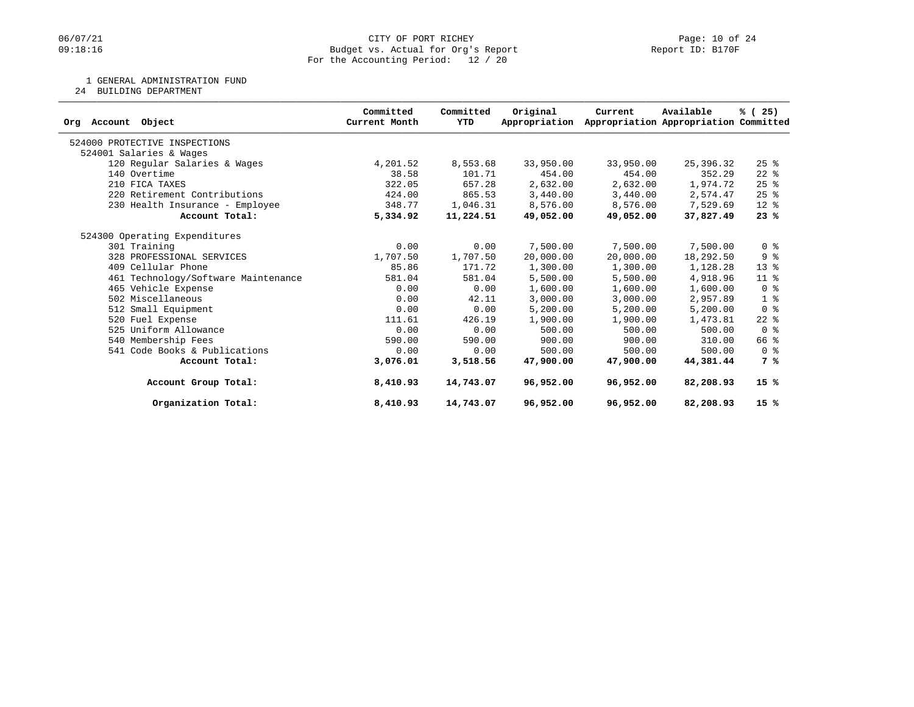### 06/07/21 CITY OF PORT RICHEY Page: 10 of 24<br>
Budget vs. Actual for Org's Report Port (Report ID: B170F PORT RICHEY Budget vs. Actual for Org's Report For the Accounting Period: 12 / 20

1 GENERAL ADMINISTRATION FUND

24 BUILDING DEPARTMENT

|                                     | Committed     | Committed | Original      | Current   | Available                             | % (25)                  |
|-------------------------------------|---------------|-----------|---------------|-----------|---------------------------------------|-------------------------|
| Account Object<br>Orq               | Current Month | YTD       | Appropriation |           | Appropriation Appropriation Committed |                         |
| 524000 PROTECTIVE INSPECTIONS       |               |           |               |           |                                       |                         |
| 524001 Salaries & Wages             |               |           |               |           |                                       |                         |
| 120 Regular Salaries & Wages        | 4,201.52      | 8,553.68  | 33,950.00     | 33,950.00 | 25,396.32                             | $25$ $%$                |
| 140 Overtime                        | 38.58         | 101.71    | 454.00        | 454.00    | 352.29                                | $22$ $%$                |
| 210 FICA TAXES                      | 322.05        | 657.28    | 2,632.00      | 2,632.00  | 1,974.72                              | 25%                     |
| 220 Retirement Contributions        | 424.00        | 865.53    | 3,440.00      | 3,440.00  | 2,574.47                              | 25%                     |
| 230 Health Insurance - Employee     | 348.77        | 1,046.31  | 8,576.00      | 8,576.00  | 7,529.69                              | 12 %                    |
| Account Total:                      | 5,334.92      | 11,224.51 | 49,052.00     | 49,052.00 | 37,827.49                             | 23%                     |
| 524300 Operating Expenditures       |               |           |               |           |                                       |                         |
| 301 Training                        | 0.00          | 0.00      | 7,500.00      | 7,500.00  | 7,500.00                              | 0 <sup>8</sup>          |
| 328 PROFESSIONAL SERVICES           | 1,707.50      | 1,707.50  | 20,000.00     | 20,000.00 | 18,292.50                             | 9%                      |
| 409 Cellular Phone                  | 85.86         | 171.72    | 1,300.00      | 1,300.00  | 1,128.28                              | $13*$                   |
| 461 Technology/Software Maintenance | 581.04        | 581.04    | 5,500.00      | 5,500.00  | 4,918.96                              | $11*$                   |
| 465 Vehicle Expense                 | 0.00          | 0.00      | 1,600.00      | 1,600.00  | 1,600.00                              | 0 <sup>8</sup>          |
| 502 Miscellaneous                   | 0.00          | 42.11     | 3,000.00      | 3,000.00  | 2,957.89                              | 1 <sup>8</sup>          |
| 512 Small Equipment                 | 0.00          | 0.00      | 5,200.00      | 5,200.00  | 5,200.00                              | 0 <sup>8</sup>          |
| 520 Fuel Expense                    | 111.61        | 426.19    | 1,900.00      | 1,900.00  | 1,473.81                              | $22$ %                  |
| 525 Uniform Allowance               | 0.00          | 0.00      | 500.00        | 500.00    | 500.00                                | 0 <sup>8</sup>          |
| 540 Membership Fees                 | 590.00        | 590.00    | 900.00        | 900.00    | 310.00                                | 66 %                    |
| 541 Code Books & Publications       | 0.00          | 0.00      | 500.00        | 500.00    | 500.00                                | $0 \text{ }$ $\text{*}$ |
| Account Total:                      | 3,076.01      | 3,518.56  | 47,900,00     | 47,900.00 | 44,381.44                             | 7 %                     |
| Account Group Total:                | 8,410.93      | 14,743.07 | 96,952.00     | 96,952.00 | 82,208.93                             | 15%                     |
| Organization Total:                 | 8,410.93      | 14,743.07 | 96,952.00     | 96,952.00 | 82,208.93                             | 15%                     |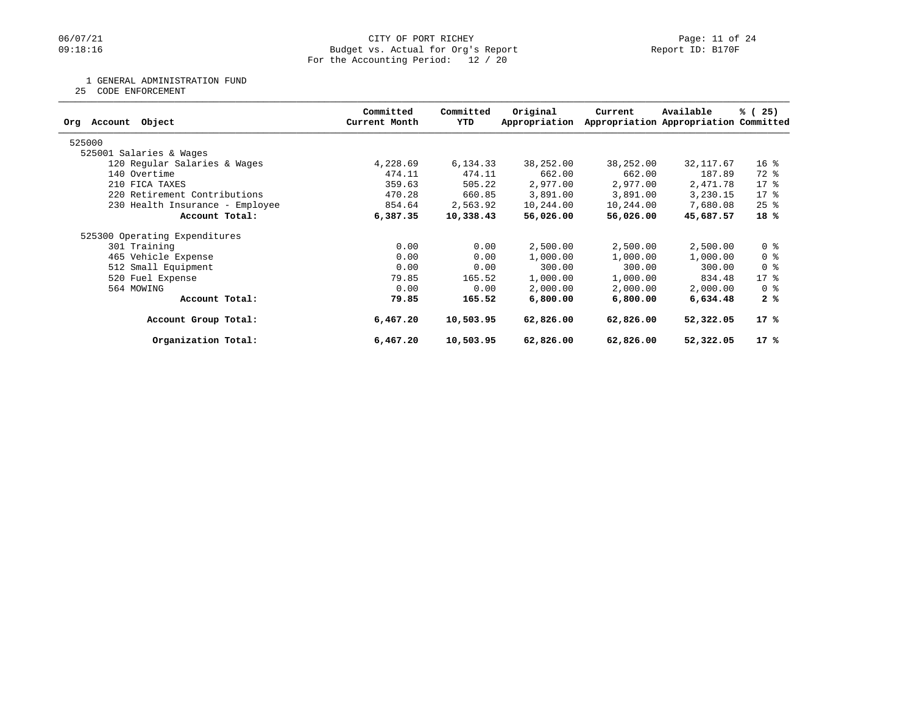### 06/07/21 CITY OF PORT RICHEY Page: 11 of 24<br>
Budget vs. Actual for Org's Report Port (Report ID: B170F PORT RICHEY Budget vs. Actual for Org's Report For the Accounting Period: 12 / 20

1 GENERAL ADMINISTRATION FUND

25 CODE ENFORCEMENT

| Object<br>Account<br>Orq        | Committed<br>Current Month | Committed<br>YTD | Original<br>Appropriation | Current   | Available<br>Appropriation Appropriation Committed | % (25)          |
|---------------------------------|----------------------------|------------------|---------------------------|-----------|----------------------------------------------------|-----------------|
| 525000                          |                            |                  |                           |           |                                                    |                 |
| 525001 Salaries & Wages         |                            |                  |                           |           |                                                    |                 |
| 120 Regular Salaries & Wages    | 4,228.69                   | 6,134.33         | 38,252.00                 | 38,252.00 | 32, 117.67                                         | 16 <sup>8</sup> |
| 140 Overtime                    | 474.11                     | 474.11           | 662.00                    | 662.00    | 187.89                                             | 72 %            |
| 210 FICA TAXES                  | 359.63                     | 505.22           | 2,977.00                  | 2,977.00  | 2,471.78                                           | $17*$           |
| 220 Retirement Contributions    | 470.28                     | 660.85           | 3,891.00                  | 3,891.00  | 3,230.15                                           | $17*$           |
| 230 Health Insurance - Employee | 854.64                     | 2,563.92         | 10,244.00                 | 10,244.00 | 7,680.08                                           | $25$ %          |
| Account Total:                  | 6,387.35                   | 10,338.43        | 56,026.00                 | 56,026.00 | 45,687.57                                          | 18%             |
| 525300 Operating Expenditures   |                            |                  |                           |           |                                                    |                 |
| 301 Training                    | 0.00                       | 0.00             | 2,500.00                  | 2,500.00  | 2,500.00                                           | 0 <sup>8</sup>  |
| 465 Vehicle Expense             | 0.00                       | 0.00             | 1,000.00                  | 1,000.00  | 1,000.00                                           | 0 <sup>8</sup>  |
| 512 Small Equipment             | 0.00                       | 0.00             | 300.00                    | 300.00    | 300.00                                             | 0 <sup>8</sup>  |
| 520 Fuel Expense                | 79.85                      | 165.52           | 1,000.00                  | 1,000.00  | 834.48                                             | $17 - 8$        |
| 564 MOWING                      | 0.00                       | 0.00             | 2,000.00                  | 2,000.00  | 2,000.00                                           | 0 %             |
| Account Total:                  | 79.85                      | 165.52           | 6,800.00                  | 6,800.00  | 6,634.48                                           | 2%              |
| Account Group Total:            | 6,467.20                   | 10,503.95        | 62,826.00                 | 62,826.00 | 52,322.05                                          | 17%             |
| Organization Total:             | 6,467.20                   | 10,503.95        | 62,826.00                 | 62,826.00 | 52,322.05                                          | 17 %            |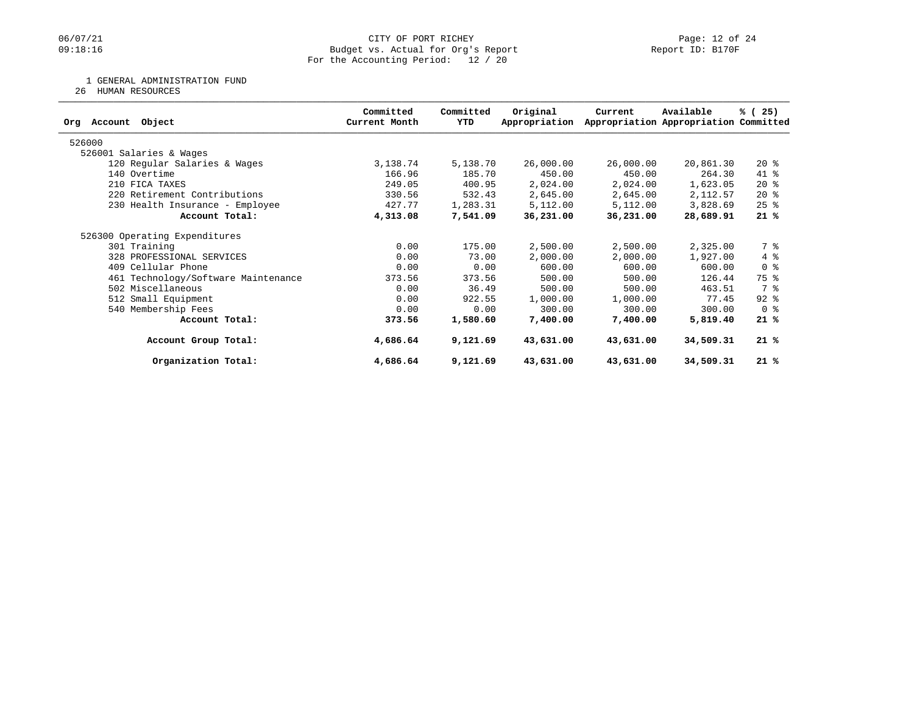### 06/07/21 CITY OF PORT RICHEY Page: 12 of 24<br>
Budget vs. Actual for Org's Report Port (Report ID: B170F PORT RICHEY Budget vs. Actual for Org's Report For the Accounting Period: 12 / 20

1 GENERAL ADMINISTRATION FUND

26 HUMAN RESOURCES

| Object<br>Account<br>Orq            | Committed<br>Current Month | Committed<br>YTD | Original<br>Appropriation | Current   | Available<br>Appropriation Appropriation Committed | % (25)         |
|-------------------------------------|----------------------------|------------------|---------------------------|-----------|----------------------------------------------------|----------------|
| 526000                              |                            |                  |                           |           |                                                    |                |
| 526001 Salaries & Wages             |                            |                  |                           |           |                                                    |                |
| 120 Regular Salaries & Wages        | 3,138.74                   | 5,138.70         | 26,000.00                 | 26,000.00 | 20,861.30                                          | $20*$          |
| 140 Overtime                        | 166.96                     | 185.70           | 450.00                    | 450.00    | 264.30                                             | 41 %           |
| 210 FICA TAXES                      | 249.05                     | 400.95           | 2,024.00                  | 2,024.00  | 1,623.05                                           | $20*$          |
| 220 Retirement Contributions        | 330.56                     | 532.43           | 2,645.00                  | 2,645.00  | 2,112.57                                           | $20*$          |
| 230 Health Insurance - Employee     | 427.77                     | 1,283.31         | 5,112.00                  | 5,112.00  | 3,828.69                                           | $25$ $%$       |
| Account Total:                      | 4,313.08                   | 7,541.09         | 36,231.00                 | 36,231.00 | 28,689.91                                          | 21%            |
| 526300 Operating Expenditures       |                            |                  |                           |           |                                                    |                |
| 301 Training                        | 0.00                       | 175.00           | 2,500.00                  | 2,500.00  | 2,325.00                                           | 7 %            |
| 328 PROFESSIONAL SERVICES           | 0.00                       | 73.00            | 2,000.00                  | 2,000.00  | 1,927.00                                           | 4%             |
| 409 Cellular Phone                  | 0.00                       | 0.00             | 600.00                    | 600.00    | 600.00                                             | 0 <sup>8</sup> |
| 461 Technology/Software Maintenance | 373.56                     | 373.56           | 500.00                    | 500.00    | 126.44                                             | 75 %           |
| 502 Miscellaneous                   | 0.00                       | 36.49            | 500.00                    | 500.00    | 463.51                                             | 7 %            |
| 512 Small Equipment                 | 0.00                       | 922.55           | 1,000.00                  | 1,000.00  | 77.45                                              | $92$ $%$       |
| 540 Membership Fees                 | 0.00                       | 0.00             | 300.00                    | 300.00    | 300.00                                             | 0 <sup>8</sup> |
| Account Total:                      | 373.56                     | 1,580.60         | 7,400.00                  | 7,400.00  | 5,819.40                                           | 21%            |
| Account Group Total:                | 4,686.64                   | 9,121.69         | 43,631.00                 | 43,631.00 | 34,509.31                                          | 21%            |
| Organization Total:                 | 4,686.64                   | 9,121.69         | 43,631.00                 | 43,631.00 | 34,509.31                                          | 21%            |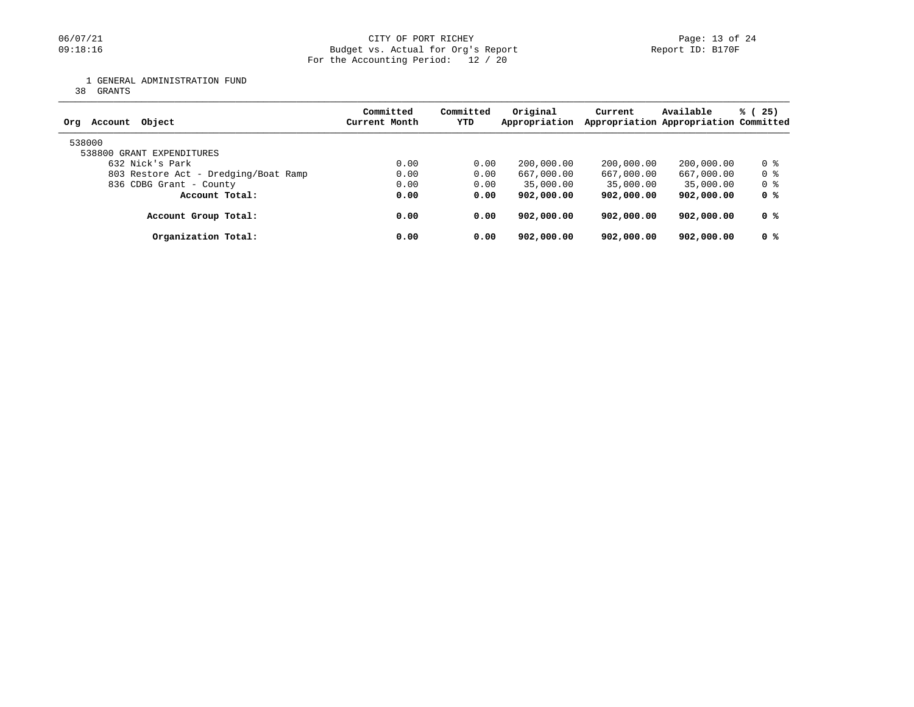### 06/07/21 CITY OF PORT RICHEY Page: 13 of 24<br>
Budget vs. Actual for Org's Report Port 1999 (1997) Page: 13 of 24 Budget vs. Actual for Org's Report For the Accounting Period: 12 / 20

1 GENERAL ADMINISTRATION FUND

38 GRANTS

| Object<br>Account<br>Ora             | Committed<br>Current Month | Committed<br><b>YTD</b> | Original<br>Appropriation | Current    | Available<br>Appropriation Appropriation Committed | % (25) |
|--------------------------------------|----------------------------|-------------------------|---------------------------|------------|----------------------------------------------------|--------|
| 538000<br>538800 GRANT EXPENDITURES  |                            |                         |                           |            |                                                    |        |
| 632 Nick's Park                      | 0.00                       | 0.00                    | 200,000.00                | 200,000.00 | 200,000.00                                         | 0 %    |
| 803 Restore Act - Dredging/Boat Ramp | 0.00                       | 0.00                    | 667,000.00                | 667,000.00 | 667,000.00                                         | 0 %    |
| 836 CDBG Grant - County              | 0.00                       | 0.00                    | 35,000.00                 | 35,000.00  | 35,000.00                                          | 0 %    |
| Account Total:                       | 0.00                       | 0.00                    | 902,000.00                | 902,000.00 | 902,000.00                                         | 0 %    |
| Account Group Total:                 | 0.00                       | 0.00                    | 902,000.00                | 902,000.00 | 902,000.00                                         | 0 %    |
| Organization Total:                  | 0.00                       | 0.00                    | 902,000,00                | 902,000.00 | 902,000.00                                         | 0 %    |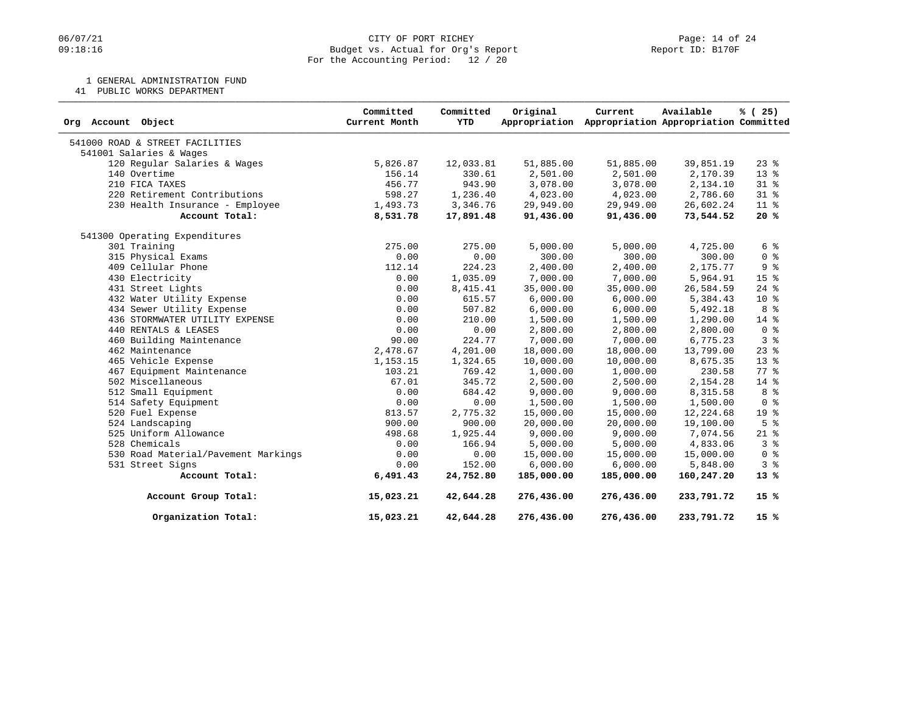### 06/07/21 CITY OF PORT RICHEY Page: 14 of 24<br>
Budget vs. Actual for Org's Report Port (Report ID: B170F PORT RICHEY Budget vs. Actual for Org's Report For the Accounting Period: 12 / 20

1 GENERAL ADMINISTRATION FUND

41 PUBLIC WORKS DEPARTMENT

| Org Account Object                  | Committed<br>Current Month | Committed<br><b>YTD</b> | Original<br>Appropriation | Current    | Available<br>Appropriation Appropriation Committed | % (25)          |
|-------------------------------------|----------------------------|-------------------------|---------------------------|------------|----------------------------------------------------|-----------------|
| 541000 ROAD & STREET FACILITIES     |                            |                         |                           |            |                                                    |                 |
| 541001 Salaries & Wages             |                            |                         |                           |            |                                                    |                 |
| 120 Regular Salaries & Wages        | 5,826.87                   | 12,033.81               | 51,885.00                 | 51,885.00  | 39,851.19                                          | $23$ $%$        |
| 140 Overtime                        | 156.14                     | 330.61                  | 2,501.00                  | 2,501.00   | 2,170.39                                           | 13 <sup>°</sup> |
| 210 FICA TAXES                      | 456.77                     | 943.90                  | 3,078.00                  | 3,078.00   | 2,134.10                                           | $31*$           |
| 220 Retirement Contributions        | 598.27                     | 1,236.40                | 4,023.00                  | 4,023.00   | 2,786.60                                           | $31*$           |
| 230 Health Insurance - Employee     | 1,493.73                   | 3,346.76                | 29,949.00                 | 29,949.00  | 26,602.24                                          | $11*$           |
| Account Total:                      | 8,531.78                   | 17,891.48               | 91,436.00                 | 91,436.00  | 73,544.52                                          | 20%             |
| 541300 Operating Expenditures       |                            |                         |                           |            |                                                    |                 |
| 301 Training                        | 275.00                     | 275.00                  | 5,000.00                  | 5,000.00   | 4,725.00                                           | 6 %             |
| 315 Physical Exams                  | 0.00                       | 0.00                    | 300.00                    | 300.00     | 300.00                                             | 0 <sup>8</sup>  |
| 409 Cellular Phone                  | 112.14                     | 224.23                  | 2,400.00                  | 2,400.00   | 2,175.77                                           | 9 <sup>8</sup>  |
| 430 Electricity                     | 0.00                       | 1,035.09                | 7,000.00                  | 7,000.00   | 5,964.91                                           | 15 %            |
| 431 Street Lights                   | 0.00                       | 8,415.41                | 35,000.00                 | 35,000.00  | 26,584.59                                          | $24$ %          |
| 432 Water Utility Expense           | 0.00                       | 615.57                  | 6,000.00                  | 6,000.00   | 5,384.43                                           | $10*$           |
| 434 Sewer Utility Expense           | 0.00                       | 507.82                  | 6,000.00                  | 6,000.00   | 5,492.18                                           | 8 %             |
| 436 STORMWATER UTILITY EXPENSE      | 0.00                       | 210.00                  | 1,500.00                  | 1,500.00   | 1,290.00                                           | $14*$           |
| 440 RENTALS & LEASES                | 0.00                       | 0.00                    | 2,800.00                  | 2,800.00   | 2,800.00                                           | 0 <sup>8</sup>  |
| 460 Building Maintenance            | 90.00                      | 224.77                  | 7,000.00                  | 7,000.00   | 6,775.23                                           | 3%              |
| 462 Maintenance                     | 2,478.67                   | 4,201.00                | 18,000.00                 | 18,000.00  | 13,799.00                                          | $23$ $%$        |
| 465 Vehicle Expense                 | 1,153.15                   | 1,324.65                | 10,000.00                 | 10,000.00  | 8,675.35                                           | $13*$           |
| 467 Equipment Maintenance           | 103.21                     | 769.42                  | 1,000.00                  | 1,000.00   | 230.58                                             | $77*$           |
| 502 Miscellaneous                   | 67.01                      | 345.72                  | 2,500.00                  | 2,500.00   | 2,154.28                                           | $14*$           |
| 512 Small Equipment                 | 0.00                       | 684.42                  | 9,000.00                  | 9,000.00   | 8,315.58                                           | 8 <sup>8</sup>  |
| 514 Safety Equipment                | 0.00                       | 0.00                    | 1,500.00                  | 1,500.00   | 1,500.00                                           | 0 <sup>8</sup>  |
| 520 Fuel Expense                    | 813.57                     | 2,775.32                | 15,000.00                 | 15,000.00  | 12,224.68                                          | 19 <sup>°</sup> |
| 524 Landscaping                     | 900.00                     | 900.00                  | 20,000.00                 | 20,000.00  | 19,100.00                                          | 5 <sup>8</sup>  |
| 525 Uniform Allowance               | 498.68                     | 1,925.44                | 9,000.00                  | 9,000.00   | 7,074.56                                           | $21*$           |
| 528 Chemicals                       | 0.00                       | 166.94                  | 5,000.00                  | 5,000.00   | 4,833.06                                           | 3%              |
| 530 Road Material/Pavement Markings | 0.00                       | 0.00                    | 15,000.00                 | 15,000.00  | 15,000.00                                          | 0 <sup>8</sup>  |
| 531 Street Signs                    | 0.00                       | 152.00                  | 6,000.00                  | 6,000.00   | 5,848.00                                           | 3%              |
| Account Total:                      | 6,491.43                   | 24,752.80               | 185,000.00                | 185,000.00 | 160,247.20                                         | $13*$           |
| Account Group Total:                | 15,023.21                  | 42,644.28               | 276,436.00                | 276,436.00 | 233,791.72                                         | $15*$           |
| Organization Total:                 | 15,023.21                  | 42,644.28               | 276,436.00                | 276,436.00 | 233,791.72                                         | 15%             |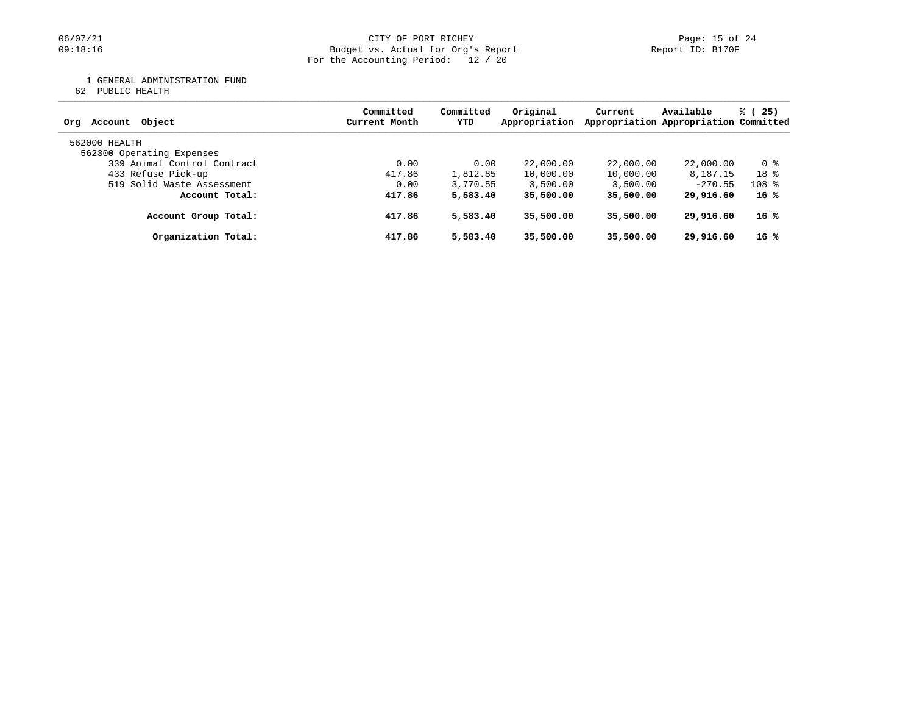#### 06/07/21 CITY OF PORT RICHEY PORT RICHEY Page: 15 of 24 09:18:16 Budget vs. Actual for Org's Report Report ID: B170F For the Accounting Period: 12 / 20

1 GENERAL ADMINISTRATION FUND

62 PUBLIC HEALTH

| Account Object<br>Ora       | Committed<br>Current Month | Committed<br>YTD | Original<br>Appropriation | Current   | Available<br>Appropriation Appropriation Committed | % (25)          |
|-----------------------------|----------------------------|------------------|---------------------------|-----------|----------------------------------------------------|-----------------|
| 562000 HEALTH               |                            |                  |                           |           |                                                    |                 |
| 562300 Operating Expenses   |                            |                  |                           |           |                                                    |                 |
| 339 Animal Control Contract | 0.00                       | 0.00             | 22,000.00                 | 22,000.00 | 22,000.00                                          | 0 %             |
| 433 Refuse Pick-up          | 417.86                     | 1,812.85         | 10,000.00                 | 10,000.00 | 8,187.15                                           | 18 <sup>8</sup> |
| 519 Solid Waste Assessment  | 0.00                       | 3,770.55         | 3,500.00                  | 3,500.00  | $-270.55$                                          | $108$ %         |
| Account Total:              | 417.86                     | 5,583.40         | 35,500.00                 | 35,500.00 | 29,916.60                                          | $16*$           |
| Account Group Total:        | 417.86                     | 5,583.40         | 35,500.00                 | 35,500.00 | 29,916.60                                          | $16*$           |
| Organization Total:         | 417.86                     | 5,583.40         | 35,500.00                 | 35,500.00 | 29,916.60                                          | $16*$           |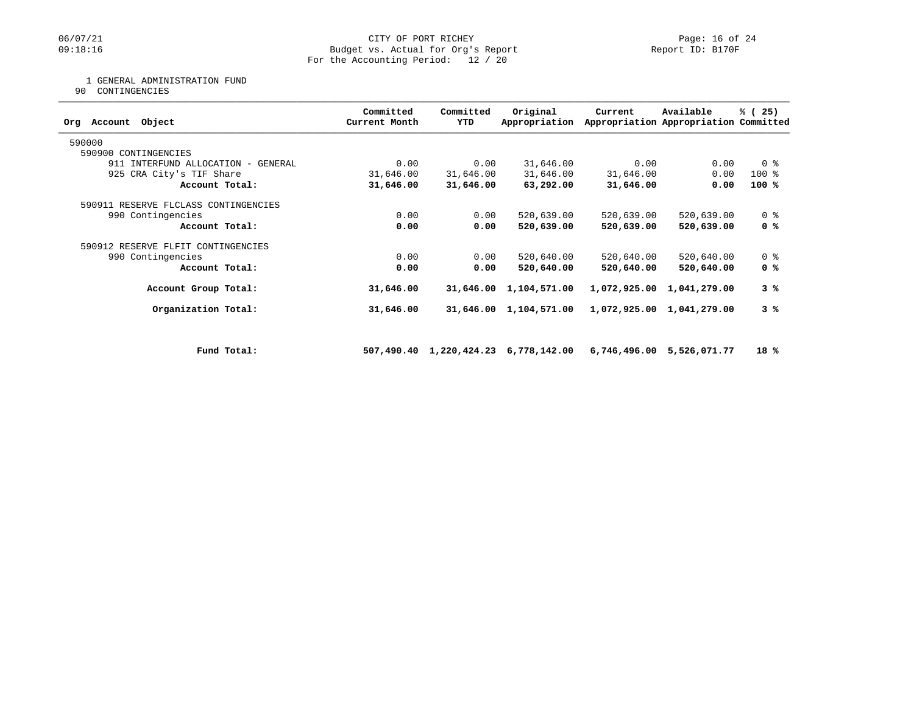### 06/07/21 CITY OF PORT RICHEY Page: 16 of 24<br>
Budget vs. Actual for Org's Report Port 1999-18:16 Page: 16 of 24 Budget vs. Actual for Org's Report For the Accounting Period: 12 / 20

### 1 GENERAL ADMINISTRATION FUND

90 CONTINGENCIES

| Committed<br>Current Month | Committed<br><b>YTD</b> | Original<br>Appropriation | Current                                                                                                                          | Available    | % (25)                                                                                                                                                                                       |
|----------------------------|-------------------------|---------------------------|----------------------------------------------------------------------------------------------------------------------------------|--------------|----------------------------------------------------------------------------------------------------------------------------------------------------------------------------------------------|
|                            |                         |                           |                                                                                                                                  |              |                                                                                                                                                                                              |
|                            |                         |                           |                                                                                                                                  |              |                                                                                                                                                                                              |
| 0.00                       |                         | 31,646.00                 |                                                                                                                                  | 0.00         | 0 <sup>8</sup>                                                                                                                                                                               |
| 31,646.00                  |                         | 31,646.00                 |                                                                                                                                  | 0.00         | $100*$                                                                                                                                                                                       |
| 31,646.00                  |                         | 63,292.00                 |                                                                                                                                  | 0.00         | $100*$                                                                                                                                                                                       |
|                            |                         |                           |                                                                                                                                  |              |                                                                                                                                                                                              |
| 0.00                       |                         | 520,639.00                |                                                                                                                                  | 520,639.00   | 0 <sup>8</sup>                                                                                                                                                                               |
| 0.00                       |                         | 520,639.00                |                                                                                                                                  | 520,639.00   | 0 %                                                                                                                                                                                          |
|                            |                         |                           |                                                                                                                                  |              |                                                                                                                                                                                              |
| 0.00                       |                         | 520,640.00                |                                                                                                                                  | 520,640.00   | 0 <sup>8</sup>                                                                                                                                                                               |
| 0.00                       |                         | 520,640.00                |                                                                                                                                  | 520,640.00   | 0 %                                                                                                                                                                                          |
| 31,646.00                  |                         | 1,104,571.00              |                                                                                                                                  | 1,041,279.00 | 3%                                                                                                                                                                                           |
| 31,646.00                  |                         | 1,104,571.00              |                                                                                                                                  | 1,041,279.00 | 3%                                                                                                                                                                                           |
|                            |                         |                           |                                                                                                                                  |              |                                                                                                                                                                                              |
|                            |                         |                           |                                                                                                                                  |              | 18%                                                                                                                                                                                          |
|                            |                         |                           | 0.00<br>31,646.00<br>31,646.00<br>0.00<br>0.00<br>0.00<br>0.00<br>31,646.00<br>31,646.00<br>507,490.40 1,220,424.23 6,778,142.00 |              | Appropriation Appropriation Committed<br>0.00<br>31,646.00<br>31,646.00<br>520,639.00<br>520,639.00<br>520,640.00<br>520,640.00<br>1,072,925.00<br>1,072,925.00<br>6,746,496.00 5,526,071.77 |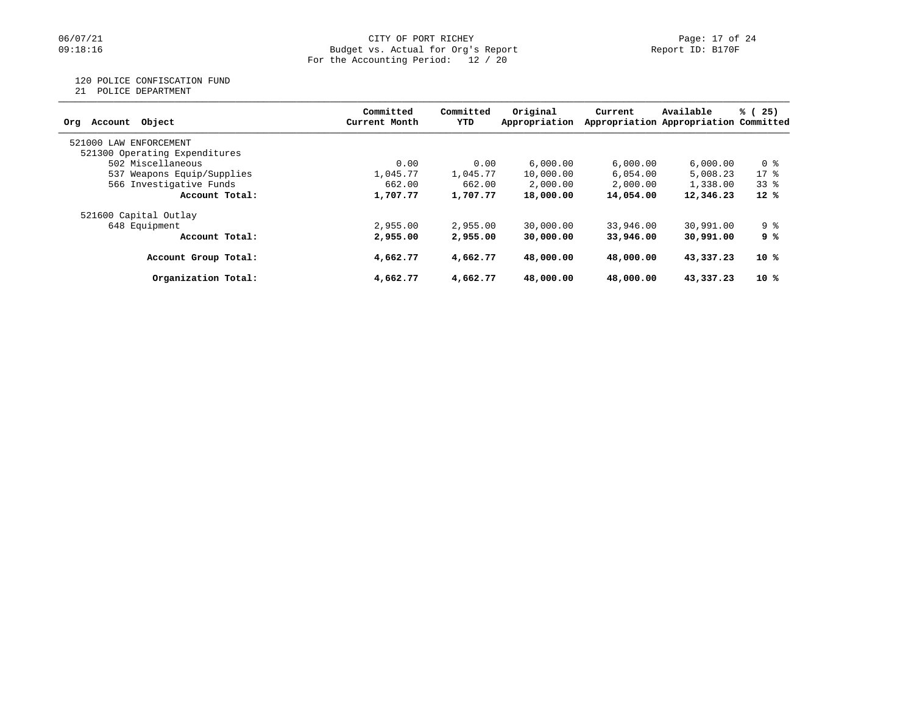### 06/07/21 CITY OF PORT RICHEY Page: 17 of 24<br>
Budget vs. Actual for Org's Report Port 1999 (1997) Page: 17 of 24 Budget vs. Actual for Org's Report For the Accounting Period: 12 / 20

# 120 POLICE CONFISCATION FUND

21 POLICE DEPARTMENT

| Account Object<br>Org         | Committed<br>Current Month | Committed<br>YTD | Original<br>Appropriation | Current   | Available<br>Appropriation Appropriation Committed | % (25) |
|-------------------------------|----------------------------|------------------|---------------------------|-----------|----------------------------------------------------|--------|
| 521000 LAW<br>ENFORCEMENT     |                            |                  |                           |           |                                                    |        |
| 521300 Operating Expenditures |                            |                  |                           |           |                                                    |        |
| 502 Miscellaneous             | 0.00                       | 0.00             | 6,000,00                  | 6,000.00  | 6.000.00                                           | 0 %    |
| 537 Weapons Equip/Supplies    | 1,045.77                   | 1,045.77         | 10,000.00                 | 6,054.00  | 5,008.23                                           | $17*$  |
| 566 Investigative Funds       | 662.00                     | 662.00           | 2,000.00                  | 2,000.00  | 1,338.00                                           | 338    |
| Account Total:                | 1,707.77                   | 1,707.77         | 18,000.00                 | 14,054.00 | 12,346.23                                          | $12*$  |
| 521600 Capital Outlay         |                            |                  |                           |           |                                                    |        |
| 648 Equipment                 | 2,955.00                   | 2,955.00         | 30,000.00                 | 33,946.00 | 30,991.00                                          | 9 %    |
| Account Total:                | 2,955.00                   | 2,955,00         | 30,000,00                 | 33,946,00 | 30,991.00                                          | 9 %    |
| Account Group Total:          | 4,662.77                   | 4,662.77         | 48,000,00                 | 48,000,00 | 43,337.23                                          | 10 %   |
| Organization Total:           | 4,662.77                   | 4,662.77         | 48,000.00                 | 48,000.00 | 43,337.23                                          | 10 %   |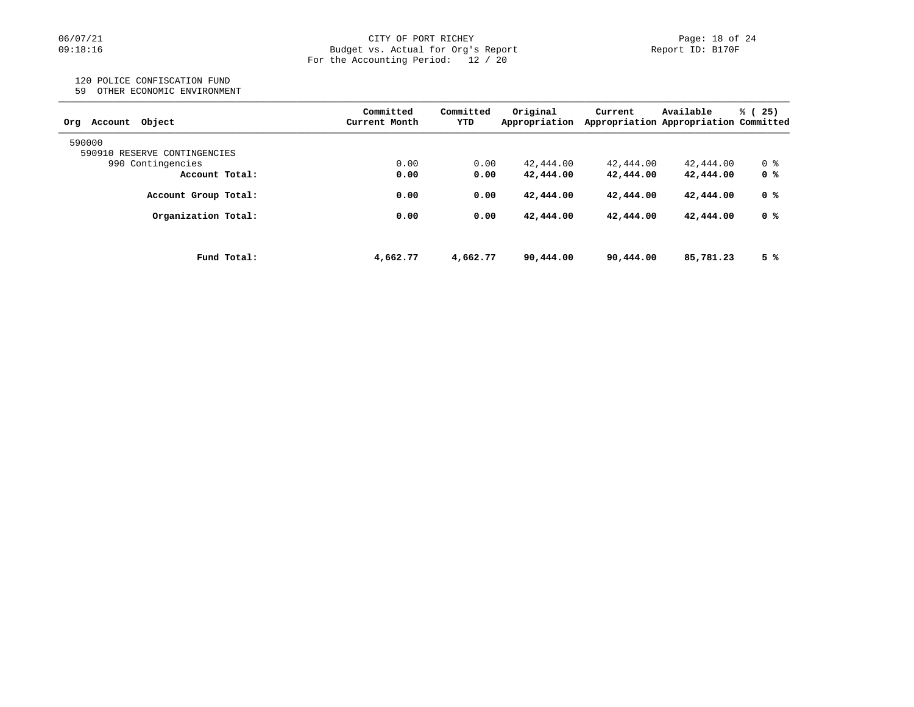# 06/07/21 CITY OF PORT RICHEY Page: 18 of 24<br>
Budget vs. Actual for Org's Report Page: 18 of 24<br>
Page: 18 of 24 Budget vs. Actual for Org's Report For the Accounting Period: 12 / 20

# 120 POLICE CONFISCATION FUND

59 OTHER ECONOMIC ENVIRONMENT

| Object<br>Account<br>Orq     | Committed<br>Current Month | Committed<br>YTD | Original<br>Appropriation | Current   | Available<br>Appropriation Appropriation Committed | % (<br>25) |
|------------------------------|----------------------------|------------------|---------------------------|-----------|----------------------------------------------------|------------|
| 590000                       |                            |                  |                           |           |                                                    |            |
| 590910 RESERVE CONTINGENCIES |                            |                  |                           |           |                                                    |            |
| 990 Contingencies            | 0.00                       | 0.00             | 42,444.00                 | 42,444.00 | 42,444.00                                          | 0 %        |
| Account Total:               | 0.00                       | 0.00             | 42,444.00                 | 42,444.00 | 42,444.00                                          | 0 %        |
| Account Group Total:         | 0.00                       | 0.00             | 42,444.00                 | 42,444.00 | 42,444.00                                          | 0 %        |
| Organization Total:          | 0.00                       | 0.00             | 42,444.00                 | 42,444.00 | 42,444.00                                          | 0 %        |
| Fund Total:                  | 4,662.77                   | 4,662.77         | 90,444.00                 | 90,444.00 | 85,781.23                                          | 5 %        |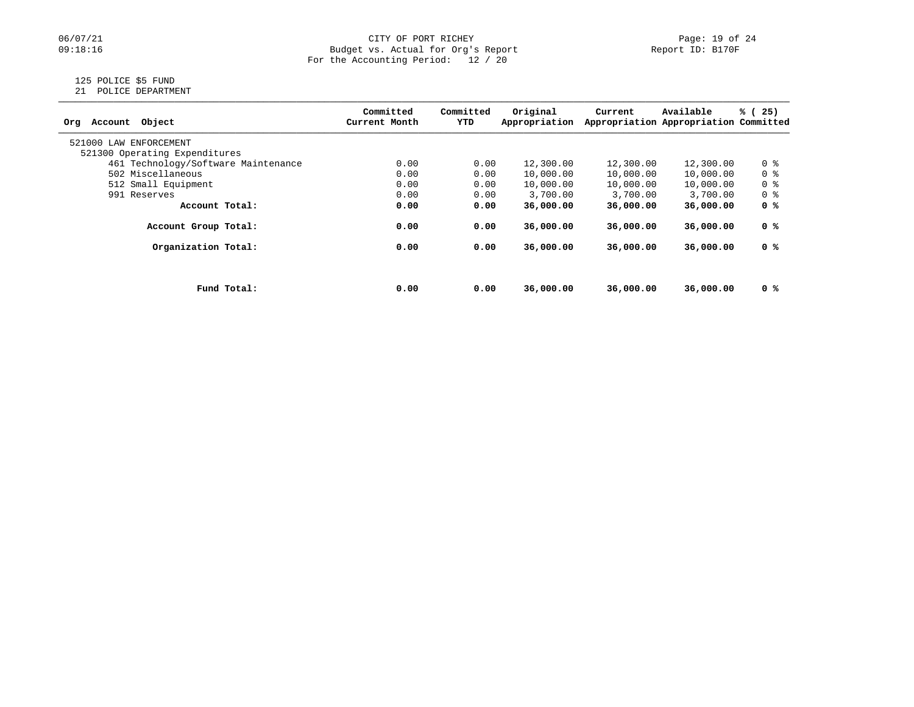# 06/07/21 CITY OF PORT RICHEY Page: 19 of 24<br>
Budget vs. Actual for Org's Report Page: 19 of 24<br>
Page: 19 of 24 Budget vs. Actual for Org's Report For the Accounting Period: 12 / 20

# 125 POLICE \$5 FUND

21 POLICE DEPARTMENT

| Object<br>Account<br>Ora            |             | Committed<br>Current Month | Committed<br>YTD | Original<br>Appropriation | Current   | Available<br>Appropriation Appropriation Committed | % (25)         |
|-------------------------------------|-------------|----------------------------|------------------|---------------------------|-----------|----------------------------------------------------|----------------|
| 521000 LAW ENFORCEMENT              |             |                            |                  |                           |           |                                                    |                |
| 521300 Operating Expenditures       |             |                            |                  |                           |           |                                                    |                |
| 461 Technology/Software Maintenance |             | 0.00                       | 0.00             | 12,300.00                 | 12,300.00 | 12,300.00                                          | 0 %            |
| 502 Miscellaneous                   |             | 0.00                       | 0.00             | 10,000.00                 | 10,000.00 | 10,000.00                                          | 0 <sup>8</sup> |
| 512 Small Equipment                 |             | 0.00                       | 0.00             | 10,000.00                 | 10,000.00 | 10,000.00                                          | 0 <sup>8</sup> |
| 991 Reserves                        |             | 0.00                       | 0.00             | 3,700.00                  | 3,700.00  | 3,700.00                                           | 0 %            |
| Account Total:                      |             | 0.00                       | 0.00             | 36,000.00                 | 36,000.00 | 36,000.00                                          | 0 %            |
| Account Group Total:                |             | 0.00                       | 0.00             | 36,000,00                 | 36,000,00 | 36,000,00                                          | 0 %            |
| Organization Total:                 |             | 0.00                       | 0.00             | 36,000,00                 | 36,000,00 | 36,000.00                                          | 0 %            |
|                                     |             |                            |                  |                           |           |                                                    |                |
|                                     | Fund Total: | 0.00                       | 0.00             | 36,000.00                 | 36,000,00 | 36,000.00                                          | 0 %            |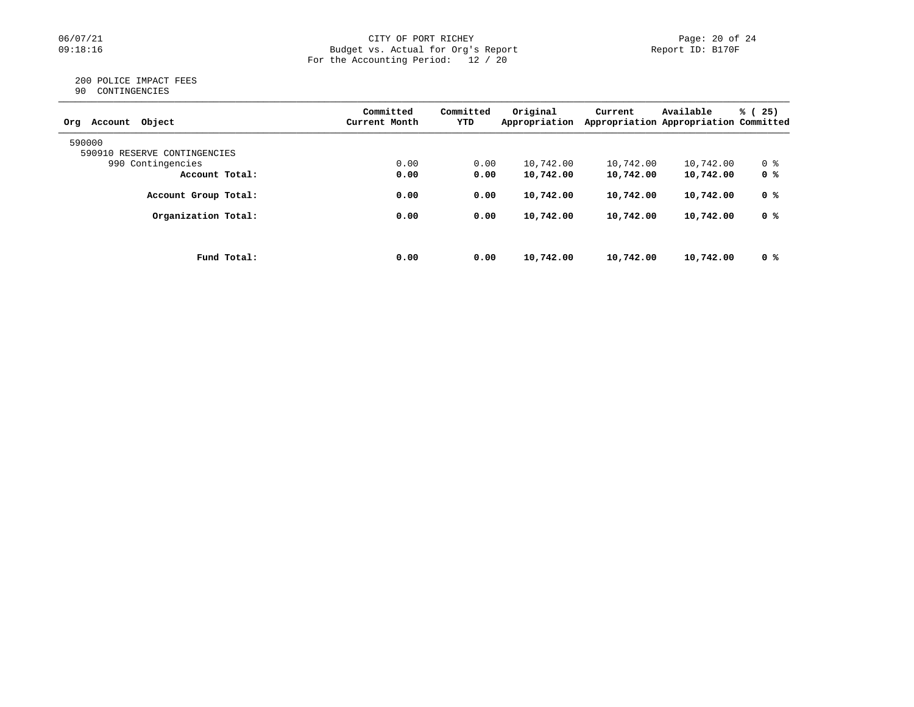#### 06/07/21 CITY OF PORT RICHEY Page: 20 of 24 09:18:16 Budget vs. Actual for Org's Report Report ID: B170F For the Accounting Period: 12 / 20

#### 200 POLICE IMPACT FEES 90 CONTINGENCIES

| Object<br>Org<br>Account     | Committed<br>Current Month | Committed<br>YTD | Original<br>Appropriation | Current   | Available<br>Appropriation Appropriation Committed | % (<br>25) |
|------------------------------|----------------------------|------------------|---------------------------|-----------|----------------------------------------------------|------------|
| 590000                       |                            |                  |                           |           |                                                    |            |
| 590910 RESERVE CONTINGENCIES |                            |                  |                           |           |                                                    |            |
| 990 Contingencies            | 0.00                       | 0.00             | 10,742.00                 | 10,742.00 | 10,742.00                                          | 0 %        |
| Account Total:               | 0.00                       | 0.00             | 10,742.00                 | 10,742.00 | 10,742.00                                          | 0 %        |
| Account Group Total:         | 0.00                       | 0.00             | 10,742.00                 | 10,742.00 | 10,742.00                                          | 0 %        |
| Organization Total:          | 0.00                       | 0.00             | 10,742.00                 | 10,742.00 | 10,742.00                                          | 0 %        |
|                              |                            |                  |                           |           |                                                    |            |
| Fund Total:                  | 0.00                       | 0.00             | 10,742.00                 | 10,742.00 | 10,742.00                                          | 0 %        |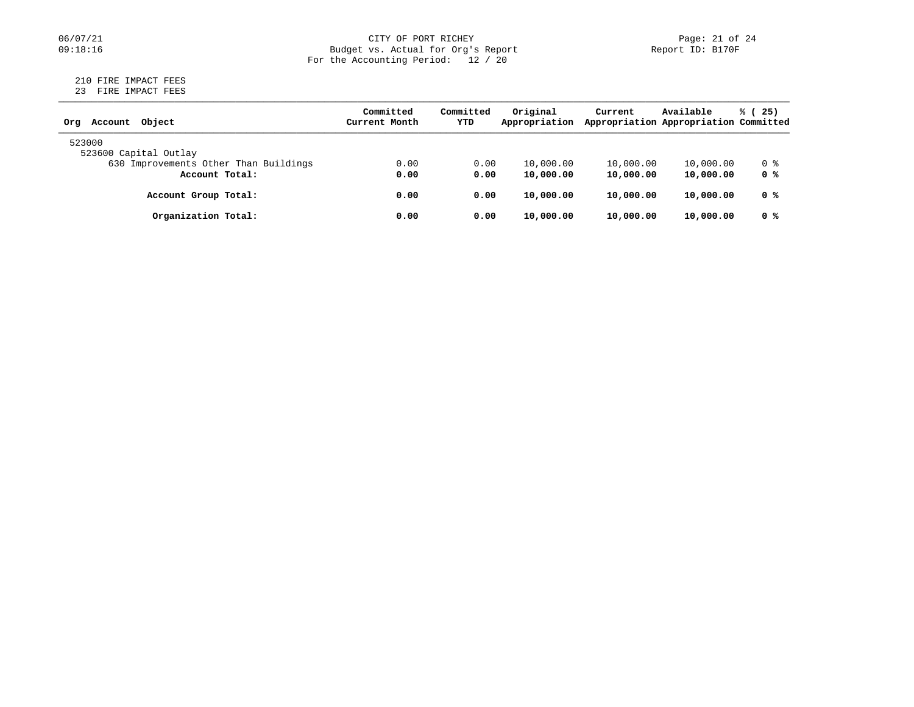# 06/07/21 CITY OF PORT RICHEY Page: 21 of 24<br>
Budget vs. Actual for Org's Report Page: 21 of 24<br>
Page: 21 of 24 Budget vs. Actual for Org's Report For the Accounting Period: 12 / 20

#### 210 FIRE IMPACT FEES 23 FIRE IMPACT FEES

| Object<br>Account<br>Orq              | Committed<br>Current Month | Committed<br>YTD | Original<br>Appropriation | Current   | Available<br>Appropriation Appropriation Committed | % (25) |
|---------------------------------------|----------------------------|------------------|---------------------------|-----------|----------------------------------------------------|--------|
| 523000<br>523600 Capital Outlay       |                            |                  |                           |           |                                                    |        |
| 630 Improvements Other Than Buildings | 0.00                       | 0.00             | 10,000.00                 | 10,000.00 | 10,000.00                                          | 0 %    |
| Account Total:                        | 0.00                       | 0.00             | 10,000.00                 | 10,000.00 | 10,000.00                                          | 0 %    |
| Account Group Total:                  | 0.00                       | 0.00             | 10,000.00                 | 10,000.00 | 10,000.00                                          | 0 %    |
| Organization Total:                   | 0.00                       | 0.00             | 10,000.00                 | 10,000.00 | 10,000.00                                          | 0 %    |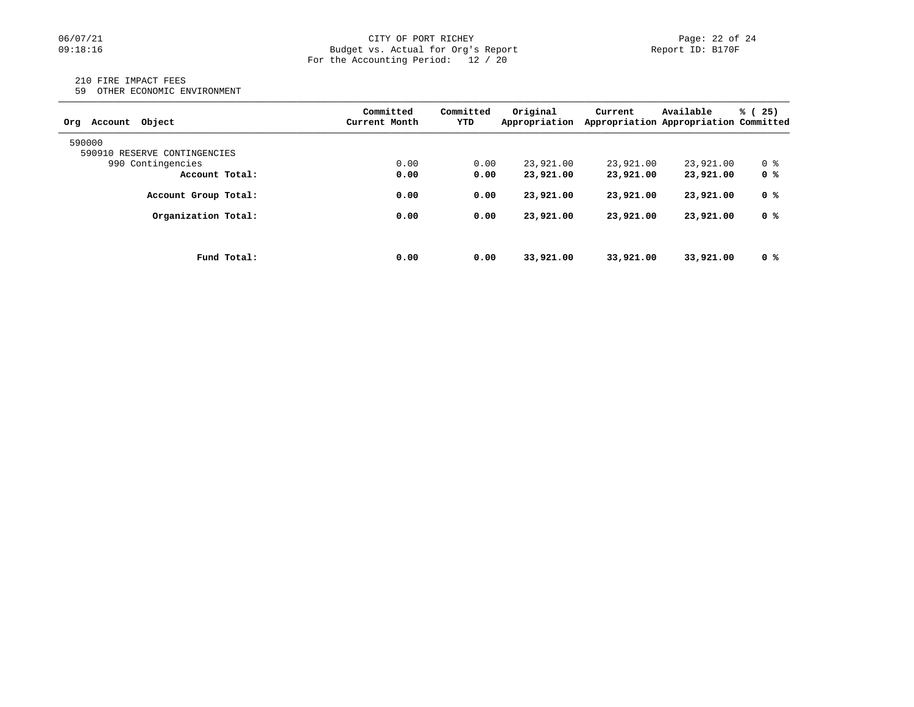### 06/07/21 CITY OF PORT RICHEY Page: 22 of 24<br>
Budget vs. Actual for Org's Report Port 10: B170F Port ID: B170F Budget vs. Actual for Org's Report For the Accounting Period: 12 / 20

#### 210 FIRE IMPACT FEES

59 OTHER ECONOMIC ENVIRONMENT

| Obiect<br>Account<br>Orq     |             | Committed<br>Current Month | Committed<br>YTD | Original<br>Appropriation | Current   | Available<br>Appropriation Appropriation Committed | % (25) |
|------------------------------|-------------|----------------------------|------------------|---------------------------|-----------|----------------------------------------------------|--------|
| 590000                       |             |                            |                  |                           |           |                                                    |        |
| 590910 RESERVE CONTINGENCIES |             |                            |                  |                           |           |                                                    |        |
| 990 Contingencies            |             | 0.00                       | 0.00             | 23,921.00                 | 23,921.00 | 23,921.00                                          | 0 %    |
| Account Total:               |             | 0.00                       | 0.00             | 23,921.00                 | 23,921.00 | 23,921.00                                          | 0 %    |
| Account Group Total:         |             | 0.00                       | 0.00             | 23,921.00                 | 23,921.00 | 23,921.00                                          | 0 %    |
| Organization Total:          |             | 0.00                       | 0.00             | 23,921.00                 | 23,921.00 | 23,921.00                                          | 0 %    |
|                              |             |                            |                  |                           |           |                                                    |        |
|                              | Fund Total: | 0.00                       | 0.00             | 33,921.00                 | 33,921,00 | 33,921.00                                          | 0 %    |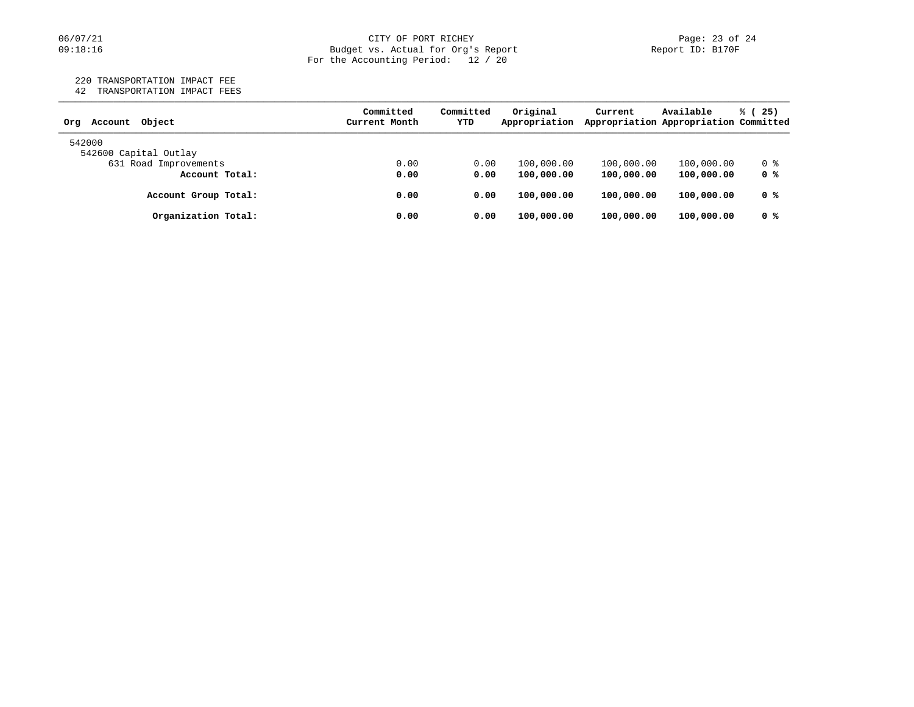#### 06/07/21 CITY OF PORT RICHEY PORT ROLL Page: 23 of 24 09:18:16 Budget vs. Actual for Org's Report Report ID: B170F For the Accounting Period: 12 / 20

220 TRANSPORTATION IMPACT FEE

42 TRANSPORTATION IMPACT FEES

| Object<br>Account<br>Orq | Committed<br>Current Month | Committed<br>YTD | Original<br>Appropriation | Current    | Available<br>Appropriation Appropriation Committed | % (25) |
|--------------------------|----------------------------|------------------|---------------------------|------------|----------------------------------------------------|--------|
| 542000                   |                            |                  |                           |            |                                                    |        |
| 542600 Capital Outlay    |                            |                  |                           |            |                                                    |        |
| 631 Road Improvements    | 0.00                       | 0.00             | 100,000.00                | 100,000.00 | 100,000.00                                         | 0 %    |
| Account Total:           | 0.00                       | 0.00             | 100,000.00                | 100,000.00 | 100,000.00                                         | 0 %    |
| Account Group Total:     | 0.00                       | 0.00             | 100,000.00                | 100,000.00 | 100,000.00                                         | 0 %    |
| Organization Total:      | 0.00                       | 0.00             | 100,000.00                | 100,000.00 | 100,000.00                                         | 0 %    |